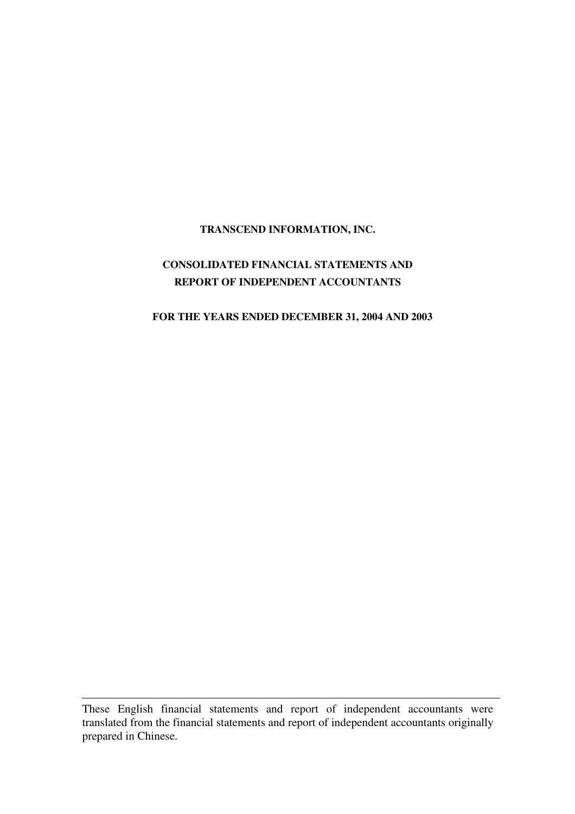## **TRANSCEND INFORMATION, INC.**

## **CONSOLIDATED FINANCIAL STATEMENTS AND REPORT OF INDEPENDENT ACCOUNTANTS**

#### **FOR THE YEARS ENDED DECEMBER 31, 2004 AND 2003**

These English financial statements and report of independent accountants were translated from the financial statements and report of independent accountants originally prepared in Chinese.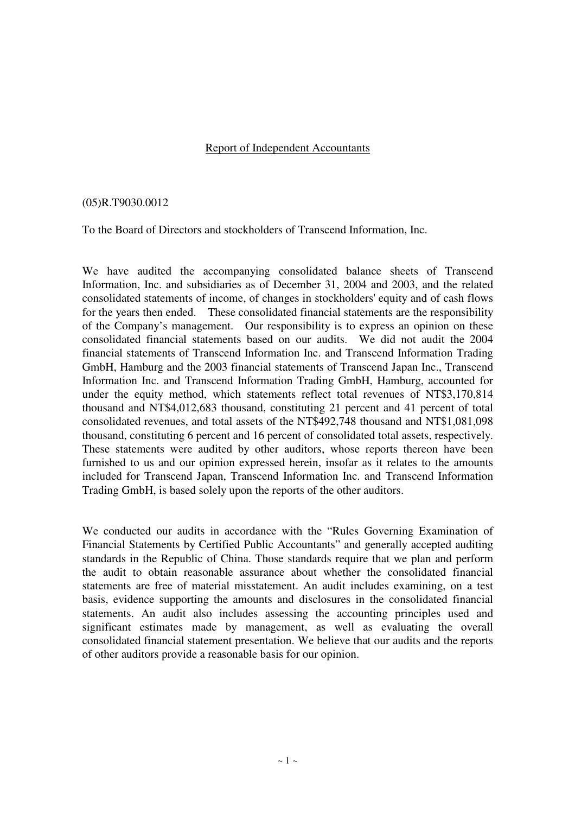## Report of Independent Accountants

#### (05)R.T9030.0012

To the Board of Directors and stockholders of Transcend Information, Inc.

We have audited the accompanying consolidated balance sheets of Transcend Information, Inc. and subsidiaries as of December 31, 2004 and 2003, and the related consolidated statements of income, of changes in stockholders' equity and of cash flows for the years then ended. These consolidated financial statements are the responsibility of the Company's management. Our responsibility is to express an opinion on these consolidated financial statements based on our audits. We did not audit the 2004 financial statements of Transcend Information Inc. and Transcend Information Trading GmbH, Hamburg and the 2003 financial statements of Transcend Japan Inc., Transcend Information Inc. and Transcend Information Trading GmbH, Hamburg, accounted for under the equity method, which statements reflect total revenues of NT\$3,170,814 thousand and NT\$4,012,683 thousand, constituting 21 percent and 41 percent of total consolidated revenues, and total assets of the NT\$492,748 thousand and NT\$1,081,098 thousand, constituting 6 percent and 16 percent of consolidated total assets, respectively. These statements were audited by other auditors, whose reports thereon have been furnished to us and our opinion expressed herein, insofar as it relates to the amounts included for Transcend Japan, Transcend Information Inc. and Transcend Information Trading GmbH, is based solely upon the reports of the other auditors.

We conducted our audits in accordance with the "Rules Governing Examination of Financial Statements by Certified Public Accountants" and generally accepted auditing standards in the Republic of China. Those standards require that we plan and perform the audit to obtain reasonable assurance about whether the consolidated financial statements are free of material misstatement. An audit includes examining, on a test basis, evidence supporting the amounts and disclosures in the consolidated financial statements. An audit also includes assessing the accounting principles used and significant estimates made by management, as well as evaluating the overall consolidated financial statement presentation. We believe that our audits and the reports of other auditors provide a reasonable basis for our opinion.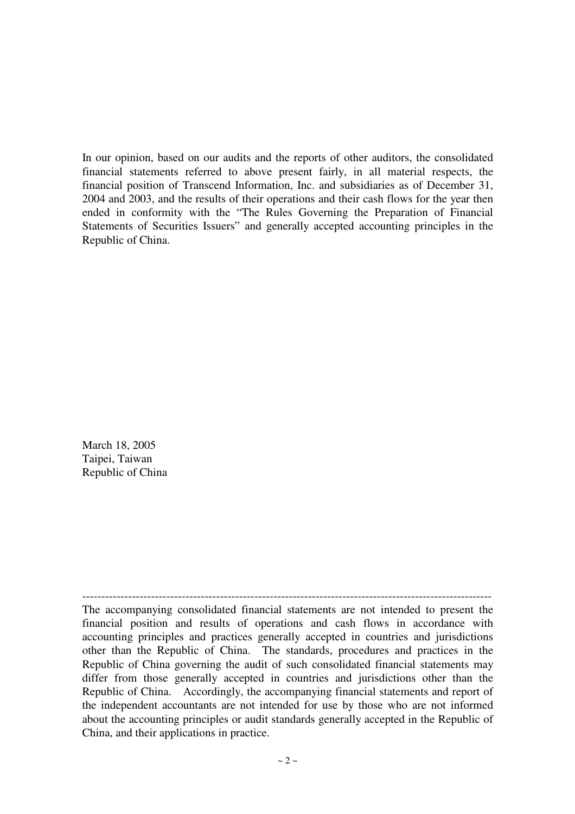In our opinion, based on our audits and the reports of other auditors, the consolidated financial statements referred to above present fairly, in all material respects, the financial position of Transcend Information, Inc. and subsidiaries as of December 31, 2004 and 2003, and the results of their operations and their cash flows for the year then ended in conformity with the "The Rules Governing the Preparation of Financial Statements of Securities Issuers" and generally accepted accounting principles in the Republic of China.

March 18, 2005 Taipei, Taiwan Republic of China

----------------------------------------------------------------------------------------------------------- The accompanying consolidated financial statements are not intended to present the financial position and results of operations and cash flows in accordance with accounting principles and practices generally accepted in countries and jurisdictions other than the Republic of China. The standards, procedures and practices in the Republic of China governing the audit of such consolidated financial statements may differ from those generally accepted in countries and jurisdictions other than the Republic of China. Accordingly, the accompanying financial statements and report of the independent accountants are not intended for use by those who are not informed about the accounting principles or audit standards generally accepted in the Republic of China, and their applications in practice.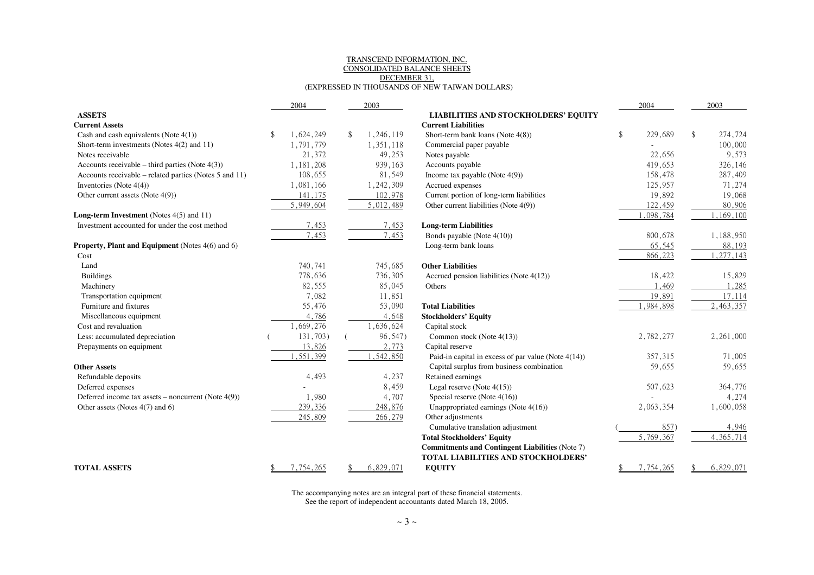#### TRANSCEND INFORMATION, INC. CONSOLIDATED BALANCE SHEETSDECEMBER 31,(EXPRESSED IN THOUSANDS OF NEW TAIWAN DOLLARS)

| <b>ASSETS</b><br><b>LIABILITIES AND STOCKHOLDERS' EQUITY</b>                                                     |                |               |
|------------------------------------------------------------------------------------------------------------------|----------------|---------------|
| <b>Current Liabilities</b><br><b>Current Assets</b>                                                              |                |               |
| 1,246,119<br>Cash and cash equivalents (Note $4(1)$ )<br>1,624,249<br>\$<br>Short-term bank loans (Note $4(8)$ ) | \$<br>229,689  | \$<br>274,724 |
| Short-term investments (Notes 4(2) and 11)<br>1.791.779<br>1,351,118<br>Commercial paper payable                 |                | 100,000       |
| 21,372<br>Notes receivable<br>49,253<br>Notes payable                                                            | 22,656         | 9,573         |
| Accounts receivable – third parties (Note $4(3)$ )<br>1,181,208<br>939,163<br>Accounts payable                   | 419,653        | 326,146       |
| Accounts receivable – related parties (Notes 5 and 11)<br>108,655<br>81,549<br>Income tax payable (Note $4(9)$ ) | 158,478        | 287,409       |
| 1,242,309<br>Accrued expenses<br>Inventories (Note $4(4)$ )<br>1,081,166                                         | 125,957        | 71,274        |
| 141,175<br>102,978<br>Current portion of long-term liabilities<br>Other current assets (Note 4(9))               | 19,892         | 19,068        |
| 5,949,604<br>5,012,489<br>Other current liabilities (Note 4(9))                                                  | 122,459        | 80,906        |
| Long-term Investment (Notes 4(5) and 11)                                                                         | 1,098,784      | 1,169,100     |
| 7,453<br>Investment accounted for under the cost method<br>7,453<br><b>Long-term Liabilities</b>                 |                |               |
| 7,453<br>7,453<br>Bonds payable (Note 4(10))                                                                     | 800,678        | 1,188,950     |
| Property, Plant and Equipment (Notes 4(6) and 6)<br>Long-term bank loans                                         | 65,545         | 88,193        |
| Cost                                                                                                             | 866,223        | , 277, 143    |
| 740,741<br>745,685<br><b>Other Liabilities</b><br>Land                                                           |                |               |
| 778,636<br>736,305<br><b>Buildings</b><br>Accrued pension liabilities (Note 4(12))                               | 18,422         | 15,829        |
| 82,555<br>85,045<br>Machinery<br>Others                                                                          | 1,469          | 1,285         |
| 7,082<br>11,851<br>Transportation equipment                                                                      | 19,891         | 17,114        |
| Furniture and fixtures<br>55,476<br>53,090<br><b>Total Liabilities</b>                                           | 1,984,898      | 2,463,357     |
| 4,786<br>4,648<br>Miscellaneous equipment<br><b>Stockholders' Equity</b>                                         |                |               |
| 1,669,276<br>1,636,624<br>Cost and revaluation<br>Capital stock                                                  |                |               |
| 131,703)<br>96,547)<br>Less: accumulated depreciation<br>Common stock (Note 4(13))                               | 2,782,277      | 2,261,000     |
| 13,826<br>2,773<br>Capital reserve<br>Prepayments on equipment                                                   |                |               |
| 1,542,850<br>,551,399<br>Paid-in capital in excess of par value (Note 4(14))                                     | 357,315        | 71,005        |
| Capital surplus from business combination<br><b>Other Assets</b>                                                 | 59,655         | 59,655        |
| 4,237<br>4,493<br>Retained earnings<br>Refundable deposits                                                       |                |               |
| 8,459<br>Legal reserve (Note $4(15)$ )<br>Deferred expenses                                                      | 507,623        | 364,776       |
| 1,980<br>4,707<br>Special reserve (Note $4(16)$ )<br>Deferred income tax assets - noncurrent (Note 4(9))         |                | 4,274         |
| Other assets (Notes 4(7) and 6)<br>248,876<br>Unappropriated earnings (Note 4(16))<br>239,336                    | 2,063,354      | 1,600,058     |
| Other adjustments<br>245,809<br>266,279                                                                          |                |               |
| Cumulative translation adjustment                                                                                | 857)           | 4,946         |
| <b>Total Stockholders' Equity</b>                                                                                | 5,769,367      | 4, 365, 714   |
| <b>Commitments and Contingent Liabilities (Note 7)</b>                                                           |                |               |
| TOTAL LIABILITIES AND STOCKHOLDERS'                                                                              |                |               |
| 7,754,265<br>6,829,071<br><b>EQUITY</b><br><b>TOTAL ASSETS</b>                                                   | 7,754,265<br>S | 6,829,071     |

The accompanying notes are an integral part of these financial statements. See the report of independent accountants dated March 18, 2005.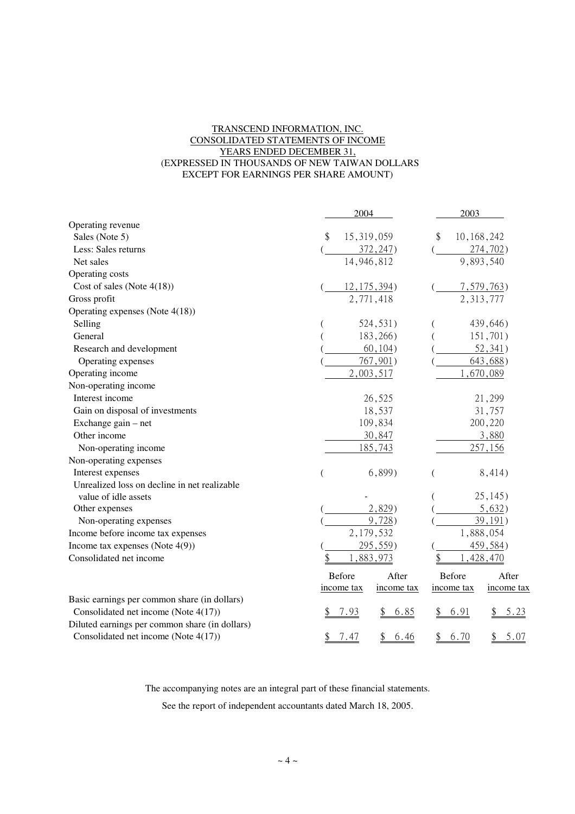#### TRANSCEND INFORMATION, INC. CONSOLIDATED STATEMENTS OF INCOME YEARS ENDED DECEMBER 31, (EXPRESSED IN THOUSANDS OF NEW TAIWAN DOLLARS EXCEPT FOR EARNINGS PER SHARE AMOUNT)

|                                                | 2004                     | 2003                     |
|------------------------------------------------|--------------------------|--------------------------|
| Operating revenue                              |                          |                          |
| Sales (Note 5)                                 | \$<br>15,319,059         | \$<br>10, 168, 242       |
| Less: Sales returns                            | 372, 247                 | 274,702                  |
| Net sales                                      | 14,946,812               | 9,893,540                |
| Operating costs                                |                          |                          |
| Cost of sales (Note $4(18)$ )                  | $12, 175, 394$ )         | 7,579,763                |
| Gross profit                                   | 2,771,418                | 2,313,777                |
| Operating expenses (Note 4(18))                |                          |                          |
| Selling                                        | 524, 531)                | 439,646)                 |
| General                                        | 183,266)                 | 151,701)                 |
| Research and development                       | 60, 104)                 | 52, 341)                 |
| Operating expenses                             | $767,901$ )              | 643,688                  |
| Operating income                               | 2,003,517                | ,670,089                 |
| Non-operating income                           |                          |                          |
| Interest income                                | 26,525                   | 21,299                   |
| Gain on disposal of investments                | 18,537                   | 31,757                   |
| Exchange gain – net                            | 109,834                  | 200,220                  |
| Other income                                   | 30,847                   | 3,880                    |
| Non-operating income                           | 185,743                  | 257,156                  |
| Non-operating expenses                         |                          |                          |
| Interest expenses                              | $6,899$ )                | 8,414)                   |
| Unrealized loss on decline in net realizable   |                          |                          |
| value of idle assets                           |                          | 25, 145)                 |
| Other expenses                                 | 2,829)                   | 5,632)                   |
| Non-operating expenses                         | 9,728                    | 39,191)                  |
| Income before income tax expenses              | 2,179,532                | 1,888,054                |
| Income tax expenses (Note $4(9)$ )             | 295,559                  | 459,584)                 |
| Consolidated net income                        | 883,973                  | 428,470                  |
|                                                | Before<br>After          | Before<br>After          |
|                                                | income tax<br>income tax | income tax<br>income tax |
| Basic earnings per common share (in dollars)   |                          |                          |
| Consolidated net income (Note 4(17))           | 7.93<br><u>6.85</u>      | 6.91<br>5.23             |
| Diluted earnings per common share (in dollars) |                          |                          |
| Consolidated net income (Note 4(17))           | 7.47<br>6.46<br>\$<br>\$ | 6.70<br>5.07<br>\$       |

The accompanying notes are an integral part of these financial statements.

See the report of independent accountants dated March 18, 2005.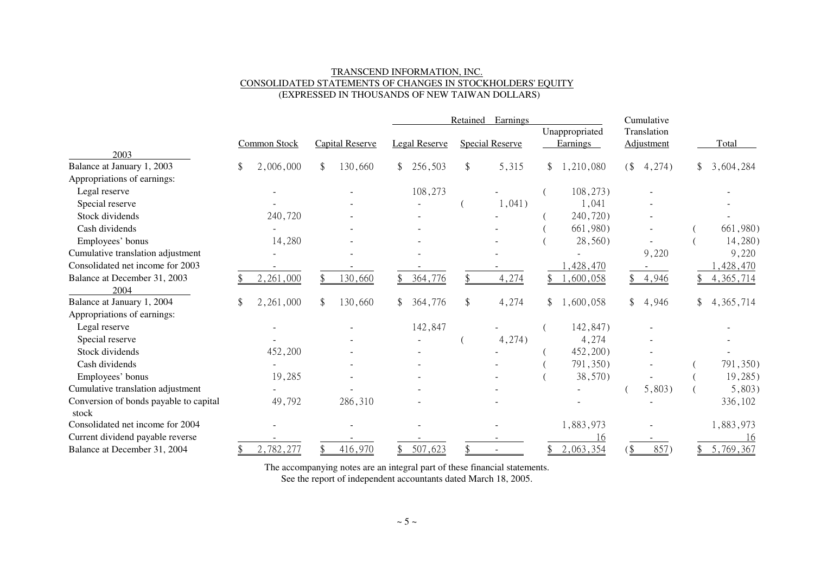#### TRANSCEND INFORMATION, INC. CONSOLIDATED STATEMENTS OF CHANGES IN STOCKHOLDERS' EQUITY(EXPRESSED IN THOUSANDS OF NEW TAIWAN DOLLARS)

|                                                 |  |              |    |                 | Earnings<br>Retained |                      |  |                        | Cumulative                 |    |                           |             |
|-------------------------------------------------|--|--------------|----|-----------------|----------------------|----------------------|--|------------------------|----------------------------|----|---------------------------|-------------|
|                                                 |  | Common Stock |    | Capital Reserve |                      | <b>Legal Reserve</b> |  | <b>Special Reserve</b> | Unappropriated<br>Earnings |    | Translation<br>Adjustment | Total       |
| 2003                                            |  |              |    |                 |                      |                      |  |                        |                            |    |                           |             |
| Balance at January 1, 2003                      |  | 2,006,000    | \$ | 130,660         | $\mathbb{S}$         | 256,503              |  | 5,315                  | \$<br>1,210,080            | (  | 4,274)                    | 3,604,284   |
| Appropriations of earnings:                     |  |              |    |                 |                      |                      |  |                        |                            |    |                           |             |
| Legal reserve                                   |  |              |    |                 |                      | 108,273              |  |                        | 108, 273)                  |    |                           |             |
| Special reserve                                 |  |              |    |                 |                      |                      |  | 1,041)                 | 1,041                      |    |                           |             |
| Stock dividends                                 |  | 240,720      |    |                 |                      |                      |  |                        | 240,720)                   |    |                           |             |
| Cash dividends                                  |  |              |    |                 |                      |                      |  |                        | 661,980)                   |    |                           | 661,980)    |
| Employees' bonus                                |  | 14,280       |    |                 |                      |                      |  |                        | 28,560)                    |    |                           | 14,280)     |
| Cumulative translation adjustment               |  |              |    |                 |                      |                      |  |                        |                            |    | 9,220                     | 9,220       |
| Consolidated net income for 2003                |  |              |    |                 |                      |                      |  |                        | 428,470                    |    |                           | , 428, 470  |
| Balance at December 31, 2003                    |  | 2,261,000    |    | 130,660         |                      | 364,776              |  | 4,274                  | ,600,058                   |    | 4,946                     | 4, 365, 714 |
| 2004                                            |  |              |    |                 |                      |                      |  |                        |                            |    |                           |             |
| Balance at January 1, 2004                      |  | 2,261,000    | \$ | 130,660         |                      | 364,776              |  | 4,274                  | 1,600,058                  | \$ | 4,946                     | 4, 365, 714 |
| Appropriations of earnings:                     |  |              |    |                 |                      |                      |  |                        |                            |    |                           |             |
| Legal reserve                                   |  |              |    |                 |                      | 142,847              |  |                        | 142,847)                   |    |                           |             |
| Special reserve                                 |  |              |    |                 |                      |                      |  | 4,274)                 | 4,274                      |    |                           |             |
| Stock dividends                                 |  | 452,200      |    |                 |                      |                      |  |                        | 452,200)                   |    |                           |             |
| Cash dividends                                  |  |              |    |                 |                      |                      |  |                        | 791,350)                   |    |                           | 791,350)    |
| Employees' bonus                                |  | 19,285       |    |                 |                      |                      |  |                        | 38,570)                    |    |                           | 19,285)     |
| Cumulative translation adjustment               |  |              |    |                 |                      |                      |  |                        |                            |    | 5,803)                    | 5,803)      |
| Conversion of bonds payable to capital<br>stock |  | 49,792       |    | 286,310         |                      |                      |  |                        |                            |    |                           | 336,102     |
| Consolidated net income for 2004                |  |              |    |                 |                      |                      |  |                        | 1,883,973                  |    |                           | 1,883,973   |
| Current dividend payable reverse                |  |              |    |                 |                      |                      |  |                        | 16                         |    |                           | 16          |
| Balance at December 31, 2004                    |  | 2,782,277    |    | 416,970         |                      | 507,623              |  |                        | 2,063,354                  |    | 857)                      | 5,769,367   |

The accompanying notes are an integral part of these financial statements.

See the report of independent accountants dated March 18, 2005.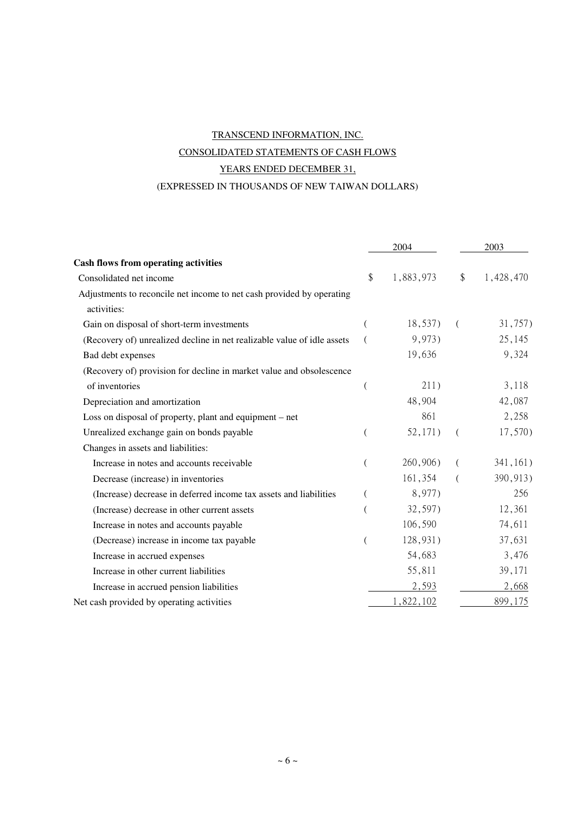# TRANSCEND INFORMATION, INC. CONSOLIDATED STATEMENTS OF CASH FLOWS YEARS ENDED DECEMBER 31, (EXPRESSED IN THOUSANDS OF NEW TAIWAN DOLLARS)

|                                                                                      |    | 2004      | 2003 |           |  |
|--------------------------------------------------------------------------------------|----|-----------|------|-----------|--|
| <b>Cash flows from operating activities</b>                                          |    |           |      |           |  |
| Consolidated net income                                                              | \$ | 1,883,973 | \$   | 1,428,470 |  |
| Adjustments to reconcile net income to net cash provided by operating<br>activities: |    |           |      |           |  |
| Gain on disposal of short-term investments                                           |    | 18,537)   | - (  | 31,757)   |  |
| (Recovery of) unrealized decline in net realizable value of idle assets              |    | 9,973)    |      | 25,145    |  |
| Bad debt expenses                                                                    |    | 19,636    |      | 9,324     |  |
| (Recovery of) provision for decline in market value and obsolescence                 |    |           |      |           |  |
| of inventories                                                                       | (  | 211)      |      | 3,118     |  |
| Depreciation and amortization                                                        |    | 48,904    |      | 42,087    |  |
| Loss on disposal of property, plant and equipment – net                              |    | 861       |      | 2,258     |  |
| Unrealized exchange gain on bonds payable                                            |    | 52,171)   | (    | 17,570)   |  |
| Changes in assets and liabilities:                                                   |    |           |      |           |  |
| Increase in notes and accounts receivable                                            | (  | 260,906)  |      | 341,161)  |  |
| Decrease (increase) in inventories                                                   |    | 161,354   |      | 390,913)  |  |
| (Increase) decrease in deferred income tax assets and liabilities                    | €  | 8,977)    |      | 256       |  |
| (Increase) decrease in other current assets                                          |    | 32,597)   |      | 12,361    |  |
| Increase in notes and accounts payable                                               |    | 106,590   |      | 74,611    |  |
| (Decrease) increase in income tax payable                                            |    | 128,931)  |      | 37,631    |  |
| Increase in accrued expenses                                                         |    | 54,683    |      | 3,476     |  |
| Increase in other current liabilities                                                |    | 55,811    |      | 39,171    |  |
| Increase in accrued pension liabilities                                              |    | 2,593     |      | 2,668     |  |
| Net cash provided by operating activities                                            |    | 1,822,102 |      | 899,175   |  |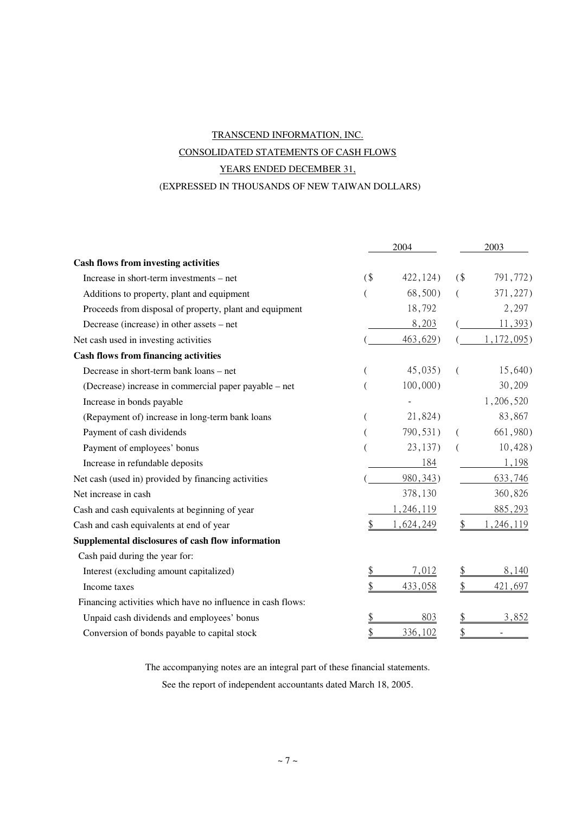# TRANSCEND INFORMATION, INC. CONSOLIDATED STATEMENTS OF CASH FLOWS YEARS ENDED DECEMBER 31, (EXPRESSED IN THOUSANDS OF NEW TAIWAN DOLLARS)

|                                                             |        | 2004        |    | 2003        |
|-------------------------------------------------------------|--------|-------------|----|-------------|
| <b>Cash flows from investing activities</b>                 |        |             |    |             |
| Increase in short-term investments – net                    | $($ \$ | 422, 124)   | (  | 791,772)    |
| Additions to property, plant and equipment                  |        | 68,500)     |    | 371,227)    |
| Proceeds from disposal of property, plant and equipment     |        | 18,792      |    | 2,297       |
| Decrease (increase) in other assets – net                   |        | 8,203       |    | 11,393      |
| Net cash used in investing activities                       |        | 463,629     |    | 1, 172, 095 |
| <b>Cash flows from financing activities</b>                 |        |             |    |             |
| Decrease in short-term bank loans - net                     |        | 45,035)     |    | 15,640)     |
| (Decrease) increase in commercial paper payable – net       |        | $100,000$ ) |    | 30,209      |
| Increase in bonds payable                                   |        |             |    | 1,206,520   |
| (Repayment of) increase in long-term bank loans             |        | 21,824)     |    | 83,867      |
| Payment of cash dividends                                   |        | 790,531)    |    | 661,980)    |
| Payment of employees' bonus                                 |        | 23,137)     |    | $10,428$ )  |
| Increase in refundable deposits                             |        | 184         |    | 1,198       |
| Net cash (used in) provided by financing activities         |        | 980, 343)   |    | 633,746     |
| Net increase in cash                                        |        | 378,130     |    | 360,826     |
| Cash and cash equivalents at beginning of year              |        | 1,246,119   |    | 885,293     |
| Cash and cash equivalents at end of year                    | \$     | 1,624,249   | \$ | , 246, 119  |
| Supplemental disclosures of cash flow information           |        |             |    |             |
| Cash paid during the year for:                              |        |             |    |             |
| Interest (excluding amount capitalized)                     |        | 7,012       |    | 8,140       |
| Income taxes                                                | \$     | 433,058     | \$ | 421,697     |
| Financing activities which have no influence in cash flows: |        |             |    |             |
| Unpaid cash dividends and employees' bonus                  | \$     | 803         |    | 3,852       |
| Conversion of bonds payable to capital stock                | \$     | 336,102     | \$ |             |

The accompanying notes are an integral part of these financial statements.

See the report of independent accountants dated March 18, 2005.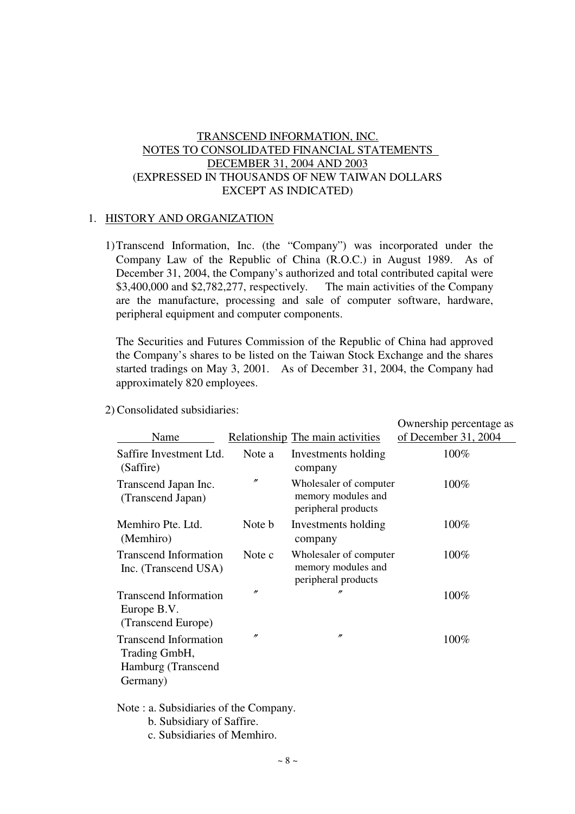## TRANSCEND INFORMATION, INC. NOTES TO CONSOLIDATED FINANCIAL STATEMENTS DECEMBER 31, 2004 AND 2003 (EXPRESSED IN THOUSANDS OF NEW TAIWAN DOLLARS EXCEPT AS INDICATED)

## 1. HISTORY AND ORGANIZATION

1)Transcend Information, Inc. (the "Company") was incorporated under the Company Law of the Republic of China (R.O.C.) in August 1989. As of December 31, 2004, the Company's authorized and total contributed capital were \$3,400,000 and \$2,782,277, respectively. The main activities of the Company are the manufacture, processing and sale of computer software, hardware, peripheral equipment and computer components.

The Securities and Futures Commission of the Republic of China had approved the Company's shares to be listed on the Taiwan Stock Exchange and the shares started tradings on May 3, 2001. As of December 31, 2004, the Company had approximately 820 employees.

2) Consolidated subsidiaries:

| Name                                                                            |                   | Relationship The main activities                                    | Ownership percentage as<br>of December 31, 2004 |
|---------------------------------------------------------------------------------|-------------------|---------------------------------------------------------------------|-------------------------------------------------|
| Saffire Investment Ltd.<br>(Saffire)                                            | Note a            | Investments holding<br>company                                      | 100%                                            |
| Transcend Japan Inc.<br>(Transcend Japan)                                       | $^{\prime\prime}$ | Wholesaler of computer<br>memory modules and<br>peripheral products | 100%                                            |
| Memhiro Pte. Ltd.<br>(Memhiro)                                                  | Note b            | Investments holding<br>company                                      | $100\%$                                         |
| <b>Transcend Information</b><br>Inc. (Transcend USA)                            | Note c            | Wholesaler of computer<br>memory modules and<br>peripheral products | $100\%$                                         |
| <b>Transcend Information</b><br>Europe B.V.<br>(Transcend Europe)               | n                 | n                                                                   | 100%                                            |
| <b>Transcend Information</b><br>Trading GmbH,<br>Hamburg (Transcend<br>Germany) | n                 | $^{\prime\prime}$                                                   | 100%                                            |

Note : a. Subsidiaries of the Company.

- b. Subsidiary of Saffire.
- c. Subsidiaries of Memhiro.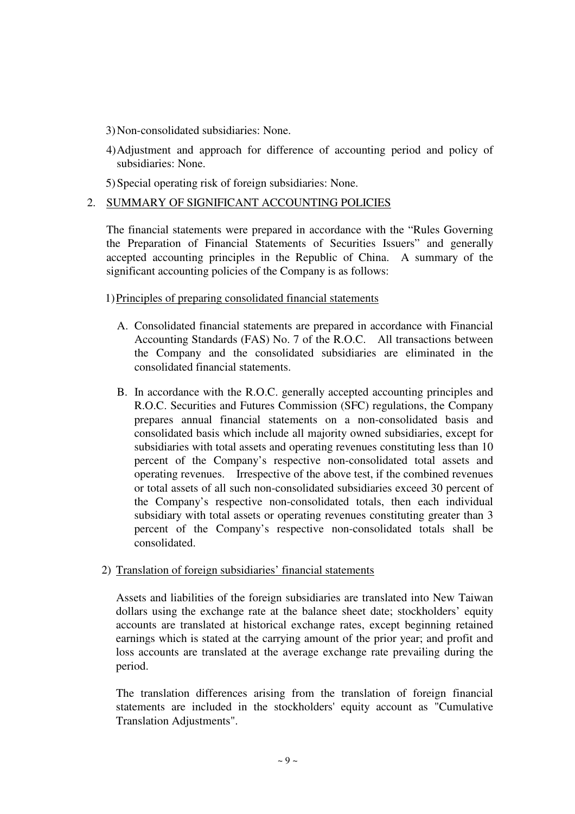- 3) Non-consolidated subsidiaries: None.
- 4) Adjustment and approach for difference of accounting period and policy of subsidiaries: None.
- 5) Special operating risk of foreign subsidiaries: None.

## 2. SUMMARY OF SIGNIFICANT ACCOUNTING POLICIES

The financial statements were prepared in accordance with the "Rules Governing the Preparation of Financial Statements of Securities Issuers" and generally accepted accounting principles in the Republic of China. A summary of the significant accounting policies of the Company is as follows:

## 1) Principles of preparing consolidated financial statements

- A. Consolidated financial statements are prepared in accordance with Financial Accounting Standards (FAS) No. 7 of the R.O.C. All transactions between the Company and the consolidated subsidiaries are eliminated in the consolidated financial statements.
- B. In accordance with the R.O.C. generally accepted accounting principles and R.O.C. Securities and Futures Commission (SFC) regulations, the Company prepares annual financial statements on a non-consolidated basis and consolidated basis which include all majority owned subsidiaries, except for subsidiaries with total assets and operating revenues constituting less than 10 percent of the Company's respective non-consolidated total assets and operating revenues. Irrespective of the above test, if the combined revenues or total assets of all such non-consolidated subsidiaries exceed 30 percent of the Company's respective non-consolidated totals, then each individual subsidiary with total assets or operating revenues constituting greater than 3 percent of the Company's respective non-consolidated totals shall be consolidated.

## 2) Translation of foreign subsidiaries' financial statements

Assets and liabilities of the foreign subsidiaries are translated into New Taiwan dollars using the exchange rate at the balance sheet date; stockholders' equity accounts are translated at historical exchange rates, except beginning retained earnings which is stated at the carrying amount of the prior year; and profit and loss accounts are translated at the average exchange rate prevailing during the period.

The translation differences arising from the translation of foreign financial statements are included in the stockholders' equity account as "Cumulative Translation Adjustments".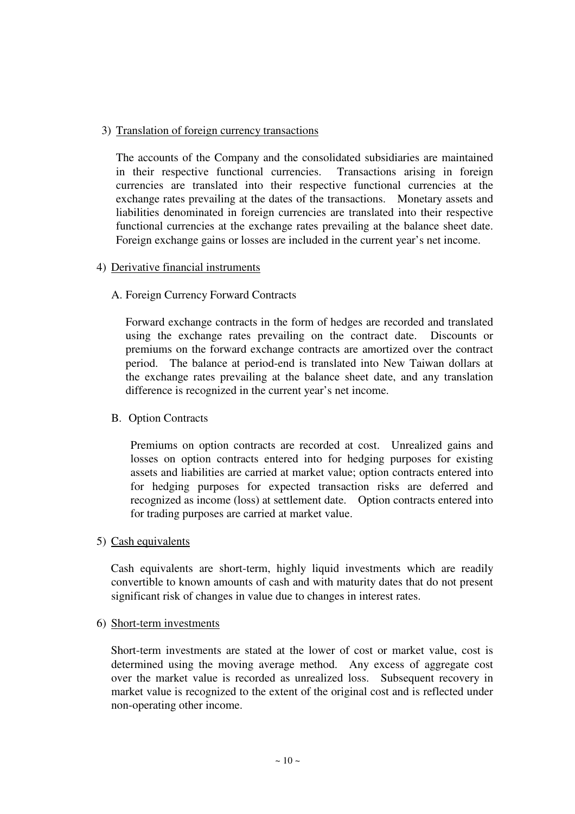## 3) Translation of foreign currency transactions

The accounts of the Company and the consolidated subsidiaries are maintained in their respective functional currencies. Transactions arising in foreign currencies are translated into their respective functional currencies at the exchange rates prevailing at the dates of the transactions. Monetary assets and liabilities denominated in foreign currencies are translated into their respective functional currencies at the exchange rates prevailing at the balance sheet date. Foreign exchange gains or losses are included in the current year's net income.

## 4) Derivative financial instruments

## A. Foreign Currency Forward Contracts

Forward exchange contracts in the form of hedges are recorded and translated using the exchange rates prevailing on the contract date. Discounts or premiums on the forward exchange contracts are amortized over the contract period. The balance at period-end is translated into New Taiwan dollars at the exchange rates prevailing at the balance sheet date, and any translation difference is recognized in the current year's net income.

## B. Option Contracts

Premiums on option contracts are recorded at cost. Unrealized gains and losses on option contracts entered into for hedging purposes for existing assets and liabilities are carried at market value; option contracts entered into for hedging purposes for expected transaction risks are deferred and recognized as income (loss) at settlement date. Option contracts entered into for trading purposes are carried at market value.

## 5) Cash equivalents

Cash equivalents are short-term, highly liquid investments which are readily convertible to known amounts of cash and with maturity dates that do not present significant risk of changes in value due to changes in interest rates.

## 6) Short-term investments

Short-term investments are stated at the lower of cost or market value, cost is determined using the moving average method. Any excess of aggregate cost over the market value is recorded as unrealized loss. Subsequent recovery in market value is recognized to the extent of the original cost and is reflected under non-operating other income.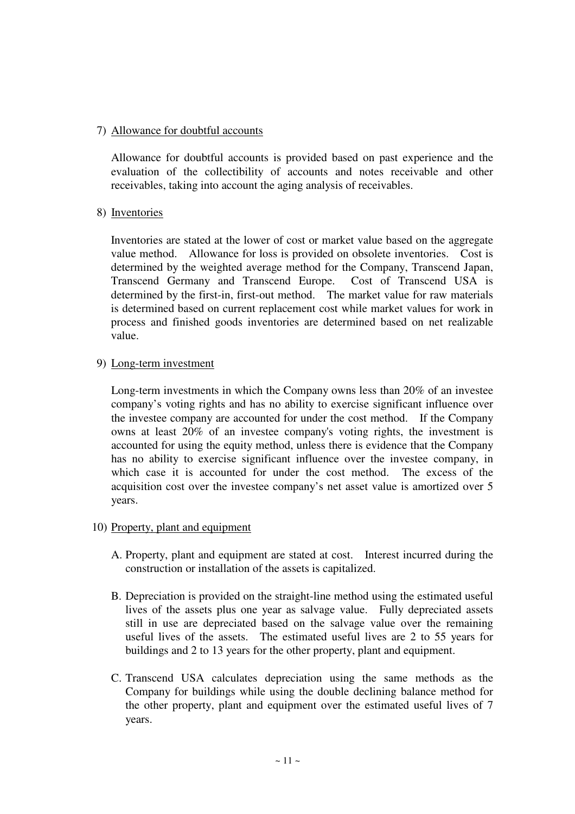## 7) Allowance for doubtful accounts

Allowance for doubtful accounts is provided based on past experience and the evaluation of the collectibility of accounts and notes receivable and other receivables, taking into account the aging analysis of receivables.

## 8) Inventories

Inventories are stated at the lower of cost or market value based on the aggregate value method. Allowance for loss is provided on obsolete inventories. Cost is determined by the weighted average method for the Company, Transcend Japan, Transcend Germany and Transcend Europe. Cost of Transcend USA is determined by the first-in, first-out method. The market value for raw materials is determined based on current replacement cost while market values for work in process and finished goods inventories are determined based on net realizable value.

## 9) Long-term investment

Long-term investments in which the Company owns less than 20% of an investee company's voting rights and has no ability to exercise significant influence over the investee company are accounted for under the cost method. If the Company owns at least 20% of an investee company's voting rights, the investment is accounted for using the equity method, unless there is evidence that the Company has no ability to exercise significant influence over the investee company, in which case it is accounted for under the cost method. The excess of the acquisition cost over the investee company's net asset value is amortized over 5 years.

## 10) Property, plant and equipment

- A. Property, plant and equipment are stated at cost. Interest incurred during the construction or installation of the assets is capitalized.
- B. Depreciation is provided on the straight-line method using the estimated useful lives of the assets plus one year as salvage value. Fully depreciated assets still in use are depreciated based on the salvage value over the remaining useful lives of the assets. The estimated useful lives are 2 to 55 years for buildings and 2 to 13 years for the other property, plant and equipment.
- C. Transcend USA calculates depreciation using the same methods as the Company for buildings while using the double declining balance method for the other property, plant and equipment over the estimated useful lives of 7 years.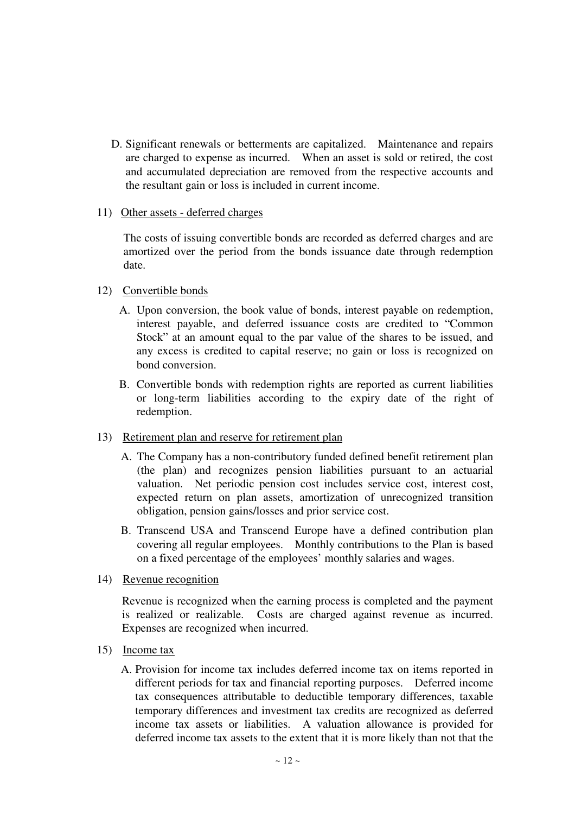D. Significant renewals or betterments are capitalized. Maintenance and repairs are charged to expense as incurred. When an asset is sold or retired, the cost and accumulated depreciation are removed from the respective accounts and the resultant gain or loss is included in current income.

## 11) Other assets - deferred charges

The costs of issuing convertible bonds are recorded as deferred charges and are amortized over the period from the bonds issuance date through redemption date.

## 12) Convertible bonds

- A. Upon conversion, the book value of bonds, interest payable on redemption, interest payable, and deferred issuance costs are credited to "Common Stock" at an amount equal to the par value of the shares to be issued, and any excess is credited to capital reserve; no gain or loss is recognized on bond conversion.
- B. Convertible bonds with redemption rights are reported as current liabilities or long-term liabilities according to the expiry date of the right of redemption.

## 13) Retirement plan and reserve for retirement plan

- A. The Company has a non-contributory funded defined benefit retirement plan (the plan) and recognizes pension liabilities pursuant to an actuarial valuation. Net periodic pension cost includes service cost, interest cost, expected return on plan assets, amortization of unrecognized transition obligation, pension gains/losses and prior service cost.
- B. Transcend USA and Transcend Europe have a defined contribution plan covering all regular employees. Monthly contributions to the Plan is based on a fixed percentage of the employees' monthly salaries and wages.
- 14) Revenue recognition

Revenue is recognized when the earning process is completed and the payment is realized or realizable. Costs are charged against revenue as incurred. Expenses are recognized when incurred.

- 15) Income tax
	- A. Provision for income tax includes deferred income tax on items reported in different periods for tax and financial reporting purposes. Deferred income tax consequences attributable to deductible temporary differences, taxable temporary differences and investment tax credits are recognized as deferred income tax assets or liabilities. A valuation allowance is provided for deferred income tax assets to the extent that it is more likely than not that the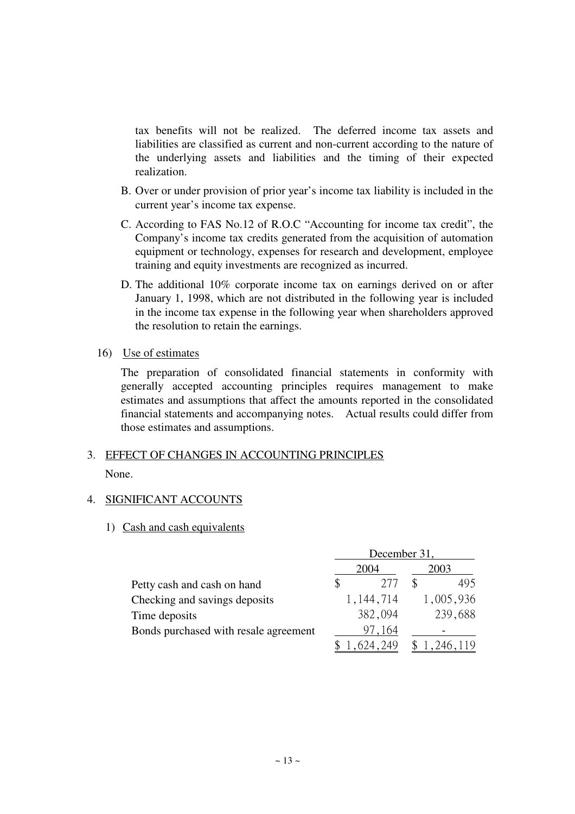tax benefits will not be realized. The deferred income tax assets and liabilities are classified as current and non-current according to the nature of the underlying assets and liabilities and the timing of their expected realization.

- B. Over or under provision of prior year's income tax liability is included in the current year's income tax expense.
- C. According to FAS No.12 of R.O.C "Accounting for income tax credit", the Company's income tax credits generated from the acquisition of automation equipment or technology, expenses for research and development, employee training and equity investments are recognized as incurred.
- D. The additional 10% corporate income tax on earnings derived on or after January 1, 1998, which are not distributed in the following year is included in the income tax expense in the following year when shareholders approved the resolution to retain the earnings.
- 16) Use of estimates

The preparation of consolidated financial statements in conformity with generally accepted accounting principles requires management to make estimates and assumptions that affect the amounts reported in the consolidated financial statements and accompanying notes. Actual results could differ from those estimates and assumptions.

## 3. EFFECT OF CHANGES IN ACCOUNTING PRINCIPLES

None.

## 4. SIGNIFICANT ACCOUNTS

#### 1) Cash and cash equivalents

|                                       | December 31, |             |  |             |  |  |
|---------------------------------------|--------------|-------------|--|-------------|--|--|
|                                       | 2004         |             |  | 2003        |  |  |
| Petty cash and cash on hand           |              | 2.77        |  | 495         |  |  |
| Checking and savings deposits         |              | 1, 144, 714 |  | 1,005,936   |  |  |
| Time deposits                         |              | 382,094     |  | 239,688     |  |  |
| Bonds purchased with resale agreement |              | 97,164      |  |             |  |  |
|                                       |              | .624,249    |  | \$1,246,119 |  |  |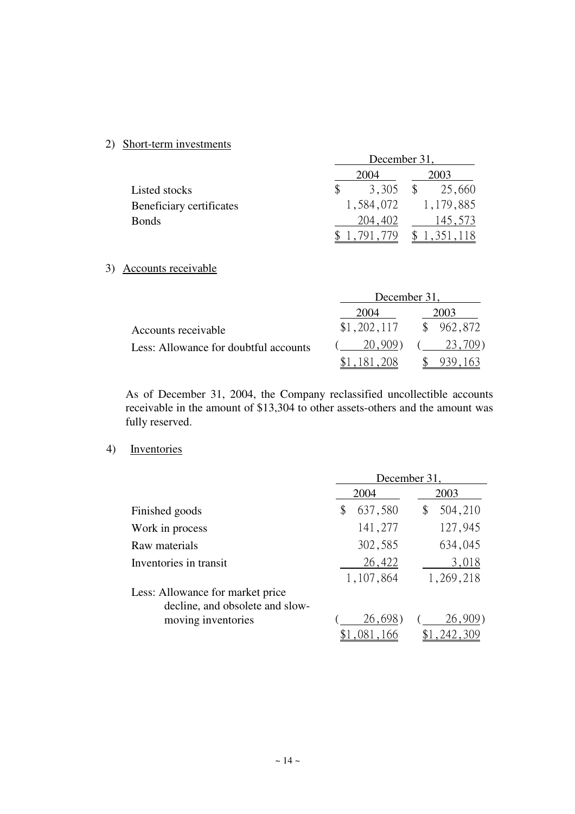## 2) Short-term investments

|                          | December 31, |           |  |                      |  |  |  |
|--------------------------|--------------|-----------|--|----------------------|--|--|--|
|                          | 2004         |           |  | 2003                 |  |  |  |
| Listed stocks            |              | 3,305     |  | 25,660               |  |  |  |
| Beneficiary certificates |              | 1,584,072 |  | 1,179,885            |  |  |  |
| <b>Bonds</b>             |              | 204,402   |  | 145,573              |  |  |  |
|                          |              | 791.      |  | $\uparrow$ 1,351,118 |  |  |  |

## 3) Accounts receivable

|                                       | December 31, |             |  |           |  |  |
|---------------------------------------|--------------|-------------|--|-----------|--|--|
|                                       |              | 2004        |  | 2003      |  |  |
| Accounts receivable                   |              | \$1,202,117 |  | \$962,872 |  |  |
| Less: Allowance for doubtful accounts |              | 20,909)     |  | 23,709)   |  |  |
|                                       |              | \$1,181,208 |  | \$939.163 |  |  |

As of December 31, 2004, the Company reclassified uncollectible accounts receivable in the amount of \$13,304 to other assets-others and the amount was fully reserved.

#### 4) Inventories

|                                  | December 31   |               |  |  |  |  |
|----------------------------------|---------------|---------------|--|--|--|--|
|                                  | 2004          | 2003          |  |  |  |  |
| Finished goods                   | 637,580<br>\$ | 504,210<br>\$ |  |  |  |  |
| Work in process                  | 141,277       | 127,945       |  |  |  |  |
| Raw materials                    | 302,585       | 634,045       |  |  |  |  |
| Inventories in transit           | 26,422        | 3,018         |  |  |  |  |
|                                  | 1,107,864     | 1,269,218     |  |  |  |  |
| Less: Allowance for market price |               |               |  |  |  |  |
| decline, and obsolete and slow-  |               |               |  |  |  |  |
| moving inventories               | 26,698        | 26,909)       |  |  |  |  |
|                                  | \$1,081,166   | \$1,242,309   |  |  |  |  |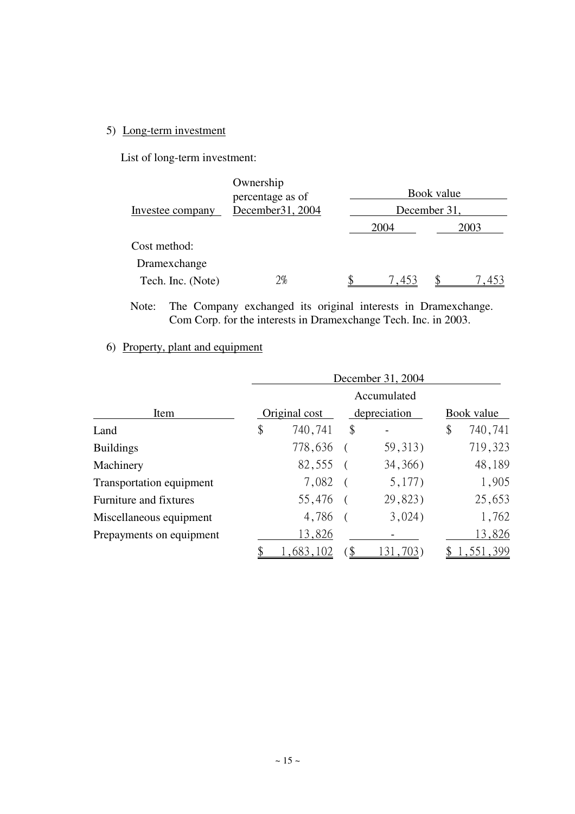## 5) Long-term investment

List of long-term investment:

| Investee company  | Ownership<br>percentage as of<br>December 31, 2004 | Book value<br>December 31, |  |      |  |  |
|-------------------|----------------------------------------------------|----------------------------|--|------|--|--|
|                   |                                                    | 2004                       |  | 2003 |  |  |
| Cost method:      |                                                    |                            |  |      |  |  |
| Dramexchange      |                                                    |                            |  |      |  |  |
| Tech. Inc. (Note) | 2%                                                 | 7,453                      |  | -453 |  |  |

Note: The Company exchanged its original interests in Dramexchange. Com Corp. for the interests in Dramexchange Tech. Inc. in 2003.

## 6) Property, plant and equipment

|                          | December 31, 2004 |              |          |            |           |  |  |
|--------------------------|-------------------|--------------|----------|------------|-----------|--|--|
|                          | Accumulated       |              |          |            |           |  |  |
| Item                     | Original cost     | depreciation |          | Book value |           |  |  |
| Land                     | \$<br>740,741     | \$           |          | \$         | 740,741   |  |  |
| <b>Buildings</b>         | 778,636           |              | 59, 313) |            | 719,323   |  |  |
| Machinery                | 82,555            |              | 34, 366) |            | 48,189    |  |  |
| Transportation equipment | 7,082             |              | 5,177)   |            | 1,905     |  |  |
| Furniture and fixtures   | 55,476            |              | 29,823)  |            | 25,653    |  |  |
| Miscellaneous equipment  | 4,786             |              | 3,024)   |            | 1,762     |  |  |
| Prepayments on equipment | 13,826            |              |          |            | 13,826    |  |  |
|                          | 1,683,102         | `\$          | 131,703) |            | 1,551,399 |  |  |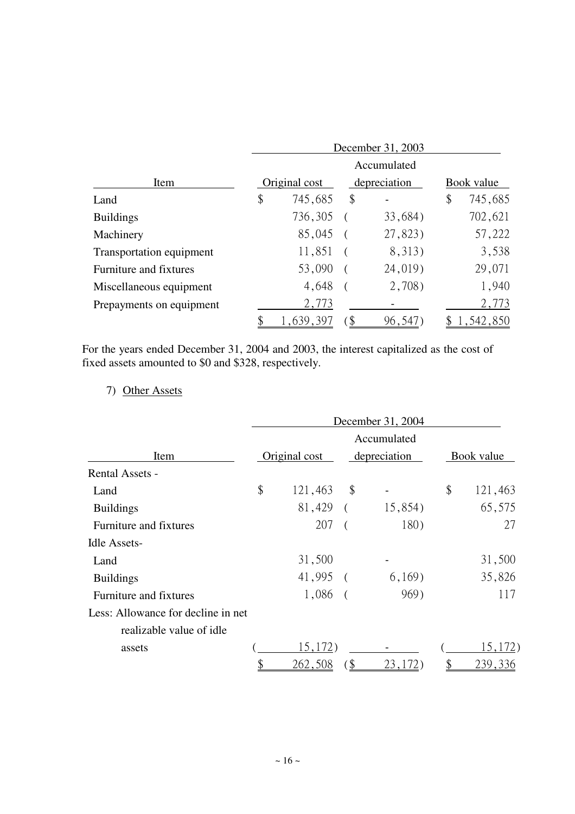|                          | December 31, 2003 |     |              |            |           |
|--------------------------|-------------------|-----|--------------|------------|-----------|
|                          | Accumulated       |     |              |            |           |
| Item                     | Original cost     |     | depreciation | Book value |           |
| Land                     | \$<br>745,685     | \$  |              | \$         | 745,685   |
| <b>Buildings</b>         | 736,305           |     | 33,684)      |            | 702,621   |
| Machinery                | 85,045            |     | 27,823)      |            | 57,222    |
| Transportation equipment | 11,851            |     | 8,313)       |            | 3,538     |
| Furniture and fixtures   | 53,090            |     | 24,019)      |            | 29,071    |
| Miscellaneous equipment  | 4,648             |     | 2,708)       |            | 1,940     |
| Prepayments on equipment | 2,773             |     |              |            | 2,773     |
|                          | 1,639,397         | `\$ | 96,54        |            | 1,542,850 |

For the years ended December 31, 2004 and 2003, the interest capitalized as the cost of fixed assets amounted to \$0 and \$328, respectively.

# 7) Other Assets

|                                    | December 31, 2004 |                           |              |            |         |  |  |
|------------------------------------|-------------------|---------------------------|--------------|------------|---------|--|--|
|                                    | Accumulated       |                           |              |            |         |  |  |
| Item                               | Original cost     |                           | depreciation | Book value |         |  |  |
| <b>Rental Assets -</b>             |                   |                           |              |            |         |  |  |
| Land                               | \$<br>121,463     | \$                        |              | \$         | 121,463 |  |  |
| <b>Buildings</b>                   | $81,429$ (        |                           | 15,854)      |            | 65,575  |  |  |
| Furniture and fixtures             | 207               |                           | 180)         |            | 27      |  |  |
| Idle Assets-                       |                   |                           |              |            |         |  |  |
| Land                               | 31,500            |                           |              |            | 31,500  |  |  |
| <b>Buildings</b>                   | $41,995$ (        |                           | 6,169)       |            | 35,826  |  |  |
| Furniture and fixtures             | $1,086$ (         |                           | 969)         |            | 117     |  |  |
| Less: Allowance for decline in net |                   |                           |              |            |         |  |  |
| realizable value of idle           |                   |                           |              |            |         |  |  |
| assets                             | 15,172)           |                           |              |            | 15,172) |  |  |
|                                    | 262,508           | $\boldsymbol{\mathsf{S}}$ | 23,172)      |            | 239,336 |  |  |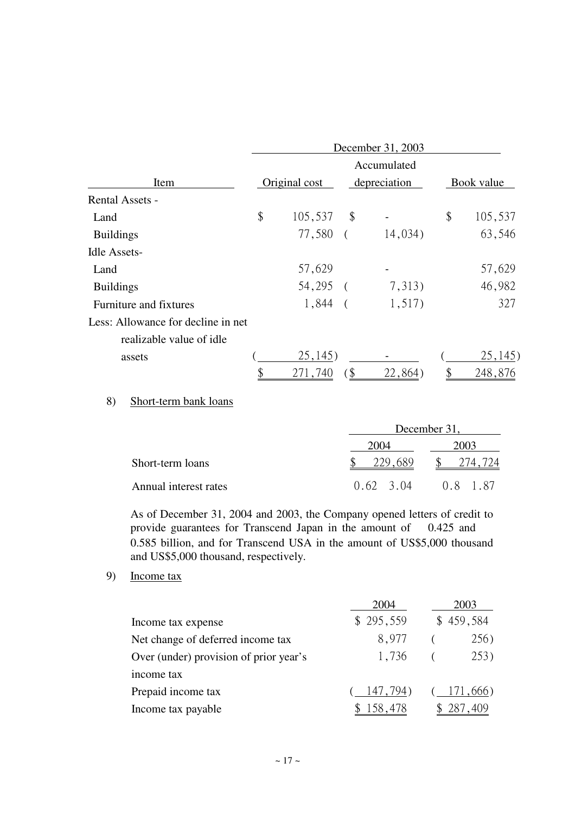|                                    | December 31, 2003             |          |         |    |            |  |  |
|------------------------------------|-------------------------------|----------|---------|----|------------|--|--|
|                                    | Accumulated                   |          |         |    |            |  |  |
| Item                               | Original cost<br>depreciation |          |         |    | Book value |  |  |
| <b>Rental Assets -</b>             |                               |          |         |    |            |  |  |
| Land                               | \$<br>105,537                 | \$       |         | \$ | 105,537    |  |  |
| <b>Buildings</b>                   | 77,580                        | $\left($ | 14,034) |    | 63,546     |  |  |
| <b>Idle Assets-</b>                |                               |          |         |    |            |  |  |
| Land                               | 57,629                        |          |         |    | 57,629     |  |  |
| <b>Buildings</b>                   | 54,295 (                      |          | 7,313)  |    | 46,982     |  |  |
| Furniture and fixtures             | 1,844                         |          | 1,517)  |    | 327        |  |  |
| Less: Allowance for decline in net |                               |          |         |    |            |  |  |
| realizable value of idle           |                               |          |         |    |            |  |  |
| assets                             | 25,145)                       |          |         |    | 25,145)    |  |  |
|                                    | 271,740                       | \$       | 22,864) |    | 248,876    |  |  |

## 8) Short-term bank loans

|                       |                   | December 31, |
|-----------------------|-------------------|--------------|
|                       | 2004              | 2003         |
| Short-term loans      | 229,689           | 274,724      |
| Annual interest rates | $0.62 \quad 3.04$ | 0.8 1.87     |

As of December 31, 2004 and 2003, the Company opened letters of credit to provide guarantees for Transcend Japan in the amount of 0.425 and 0.585 billion, and for Transcend USA in the amount of US\$5,000 thousand and US\$5,000 thousand, respectively.

## 9) Income tax

|                                        | 2004      | 2003      |
|----------------------------------------|-----------|-----------|
| Income tax expense                     | \$295,559 | \$459,584 |
| Net change of deferred income tax      | 8,977     | 256)      |
| Over (under) provision of prior year's | 1,736     | 253)      |
| income tax                             |           |           |
| Prepaid income tax                     | 147,794)  | 171,666)  |
| Income tax payable                     | 158,478   |           |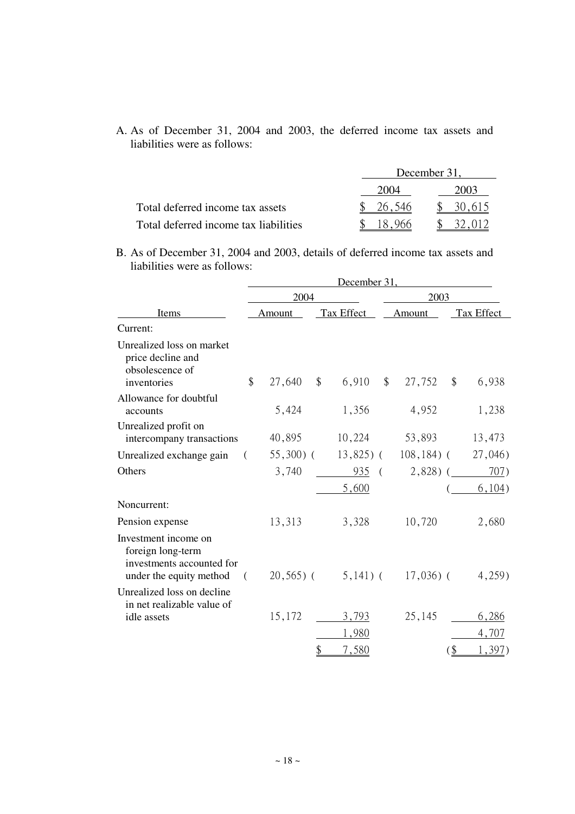A. As of December 31, 2004 and 2003, the deferred income tax assets and liabilities were as follows:

|                                       |        | December 31. |  |  |  |
|---------------------------------------|--------|--------------|--|--|--|
|                                       | 2004   | 2003         |  |  |  |
| Total deferred income tax assets      | 26,546 | 30,615       |  |  |  |
| Total deferred income tax liabilities |        |              |  |  |  |

B. As of December 31, 2004 and 2003, details of deferred income tax assets and liabilities were as follows:

|                                                                                                   |    |            |       | December 31, |               |               |                           |            |
|---------------------------------------------------------------------------------------------------|----|------------|-------|--------------|---------------|---------------|---------------------------|------------|
| Items                                                                                             |    | 2004       |       | 2003         |               |               |                           |            |
|                                                                                                   |    | Amount     |       | Tax Effect   |               | Amount        |                           | Tax Effect |
| Current:                                                                                          |    |            |       |              |               |               |                           |            |
| Unrealized loss on market<br>price decline and<br>obsolescence of<br>inventories                  | \$ | 27,640     | $\$\$ | 6,910        | $\mathcal{S}$ | 27,752        | $\boldsymbol{\mathsf{S}}$ | 6,938      |
| Allowance for doubtful<br>accounts                                                                |    | 5,424      |       | 1,356        |               | 4,952         |                           | 1,238      |
| Unrealized profit on<br>intercompany transactions                                                 |    | 40,895     |       | 10,224       |               | 53,893        |                           | 13,473     |
| Unrealized exchange gain                                                                          |    | $55,300$ ( |       | $13,825$ (   |               | $108, 184)$ ( |                           | 27,046     |
| Others                                                                                            |    | 3,740      |       | 935          | $\left($      | $2,828$ ) (   |                           | 707)       |
|                                                                                                   |    |            |       | 5,600        |               |               |                           | 6,104)     |
| Noncurrent:                                                                                       |    |            |       |              |               |               |                           |            |
| Pension expense                                                                                   |    | 13,313     |       | 3,328        |               | 10,720        |                           | 2,680      |
| Investment income on<br>foreign long-term<br>investments accounted for<br>under the equity method | (  | $20,565$ ( |       | $5,141)$ (   |               | $17,036$ ) (  |                           | 4,259)     |
| Unrealized loss on decline<br>in net realizable value of                                          |    |            |       |              |               |               |                           |            |
| idle assets                                                                                       |    | 15,172     |       | 3,793        |               | 25,145        |                           | 6,286      |
|                                                                                                   |    |            |       | 1,980        |               |               |                           | 4,707      |
|                                                                                                   |    |            | \$    | 7.580        |               |               | $($ \$                    | 1.397)     |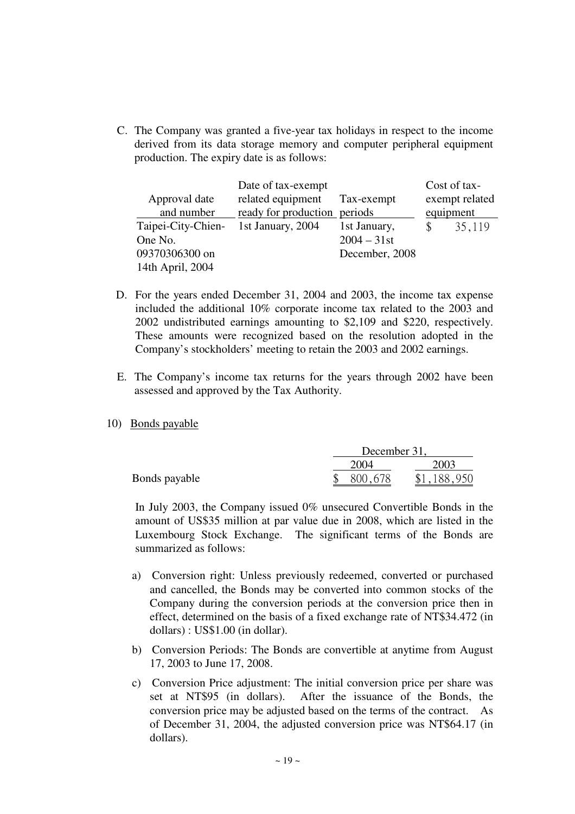C. The Company was granted a five-year tax holidays in respect to the income derived from its data storage memory and computer peripheral equipment production. The expiry date is as follows:

|                    | Date of tax-exempt           |                | Cost of tax-   |
|--------------------|------------------------------|----------------|----------------|
| Approval date      | related equipment            | Tax-exempt     | exempt related |
| and number         | ready for production periods |                | equipment      |
| Taipei-City-Chien- | 1st January, 2004            | 1st January,   | 35,119         |
| One No.            |                              | $2004 - 31$ st |                |
| 09370306300 on     |                              | December, 2008 |                |
| 14th April, 2004   |                              |                |                |

- D. For the years ended December 31, 2004 and 2003, the income tax expense included the additional 10% corporate income tax related to the 2003 and 2002 undistributed earnings amounting to \$2,109 and \$220, respectively. These amounts were recognized based on the resolution adopted in the Company's stockholders' meeting to retain the 2003 and 2002 earnings.
- E. The Company's income tax returns for the years through 2002 have been assessed and approved by the Tax Authority.
- 10) Bonds payable

|               | December 31. |             |  |
|---------------|--------------|-------------|--|
|               | 2004         | 2003        |  |
| Bonds payable | 800,678      | \$1,188,950 |  |

 In July 2003, the Company issued 0% unsecured Convertible Bonds in the amount of US\$35 million at par value due in 2008, which are listed in the Luxembourg Stock Exchange. The significant terms of the Bonds are summarized as follows:

- a) Conversion right: Unless previously redeemed, converted or purchased and cancelled, the Bonds may be converted into common stocks of the Company during the conversion periods at the conversion price then in effect, determined on the basis of a fixed exchange rate of NT\$34.472 (in dollars) : US\$1.00 (in dollar).
- b) Conversion Periods: The Bonds are convertible at anytime from August 17, 2003 to June 17, 2008.
- c) Conversion Price adjustment: The initial conversion price per share was set at NT\$95 (in dollars). After the issuance of the Bonds, the conversion price may be adjusted based on the terms of the contract. As of December 31, 2004, the adjusted conversion price was NT\$64.17 (in dollars).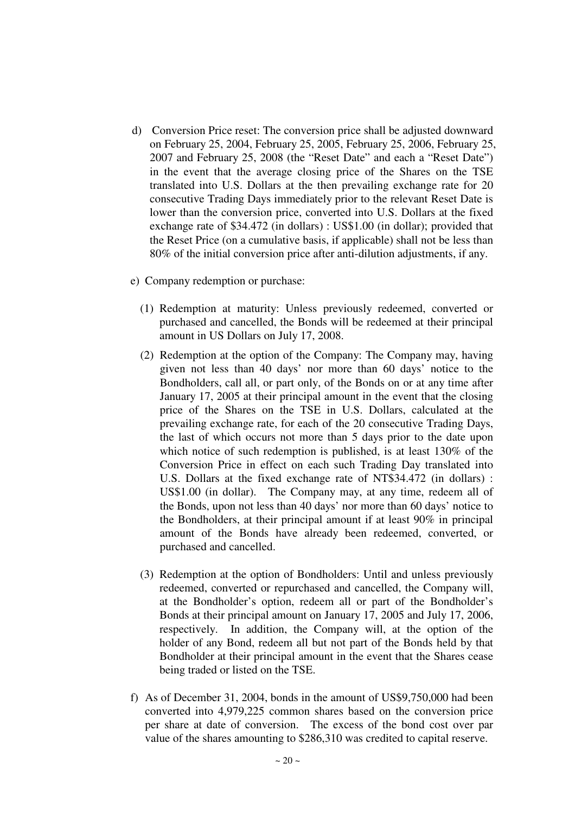- d) Conversion Price reset: The conversion price shall be adjusted downward on February 25, 2004, February 25, 2005, February 25, 2006, February 25, 2007 and February 25, 2008 (the "Reset Date" and each a "Reset Date") in the event that the average closing price of the Shares on the TSE translated into U.S. Dollars at the then prevailing exchange rate for 20 consecutive Trading Days immediately prior to the relevant Reset Date is lower than the conversion price, converted into U.S. Dollars at the fixed exchange rate of \$34.472 (in dollars) : US\$1.00 (in dollar); provided that the Reset Price (on a cumulative basis, if applicable) shall not be less than 80% of the initial conversion price after anti-dilution adjustments, if any.
- e) Company redemption or purchase:
	- (1) Redemption at maturity: Unless previously redeemed, converted or purchased and cancelled, the Bonds will be redeemed at their principal amount in US Dollars on July 17, 2008.
	- (2) Redemption at the option of the Company: The Company may, having given not less than 40 days' nor more than 60 days' notice to the Bondholders, call all, or part only, of the Bonds on or at any time after January 17, 2005 at their principal amount in the event that the closing price of the Shares on the TSE in U.S. Dollars, calculated at the prevailing exchange rate, for each of the 20 consecutive Trading Days, the last of which occurs not more than 5 days prior to the date upon which notice of such redemption is published, is at least 130% of the Conversion Price in effect on each such Trading Day translated into U.S. Dollars at the fixed exchange rate of NT\$34.472 (in dollars) : US\$1.00 (in dollar). The Company may, at any time, redeem all of the Bonds, upon not less than 40 days' nor more than 60 days' notice to the Bondholders, at their principal amount if at least 90% in principal amount of the Bonds have already been redeemed, converted, or purchased and cancelled.
	- (3) Redemption at the option of Bondholders: Until and unless previously redeemed, converted or repurchased and cancelled, the Company will, at the Bondholder's option, redeem all or part of the Bondholder's Bonds at their principal amount on January 17, 2005 and July 17, 2006, respectively. In addition, the Company will, at the option of the holder of any Bond, redeem all but not part of the Bonds held by that Bondholder at their principal amount in the event that the Shares cease being traded or listed on the TSE.
- f) As of December 31, 2004, bonds in the amount of US\$9,750,000 had been converted into 4,979,225 common shares based on the conversion price per share at date of conversion. The excess of the bond cost over par value of the shares amounting to \$286,310 was credited to capital reserve.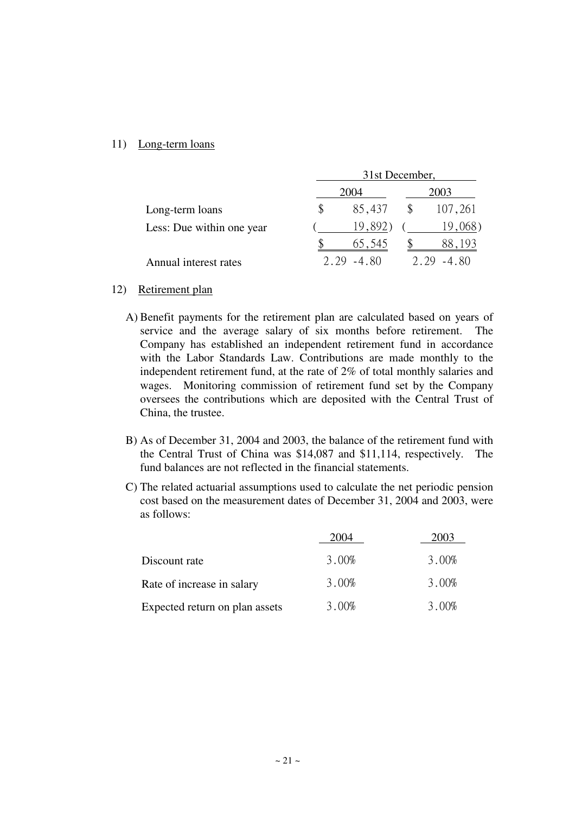## 11) Long-term loans

|                           | 31st December, |        |      |            |  |  |
|---------------------------|----------------|--------|------|------------|--|--|
|                           |                | 2004   | 2003 |            |  |  |
| Long-term loans           | \$             | 85,437 | \$   | 107,261    |  |  |
| Less: Due within one year |                | 19,892 |      | 19,068)    |  |  |
|                           |                | 65.545 |      | 193<br>88. |  |  |
| Annual interest rates     | 2.29           | -4 80  | 2.79 | $-4\,80$   |  |  |

#### 12) Retirement plan

- A) Benefit payments for the retirement plan are calculated based on years of service and the average salary of six months before retirement. The Company has established an independent retirement fund in accordance with the Labor Standards Law. Contributions are made monthly to the independent retirement fund, at the rate of 2% of total monthly salaries and wages. Monitoring commission of retirement fund set by the Company oversees the contributions which are deposited with the Central Trust of China, the trustee.
- B) As of December 31, 2004 and 2003, the balance of the retirement fund with the Central Trust of China was \$14,087 and \$11,114, respectively. The fund balances are not reflected in the financial statements.
- C) The related actuarial assumptions used to calculate the net periodic pension cost based on the measurement dates of December 31, 2004 and 2003, were as follows:

|                                | 2004  | 2003  |
|--------------------------------|-------|-------|
| Discount rate                  | 3.00% | 3.00% |
| Rate of increase in salary     | 3.00% | 3.00% |
| Expected return on plan assets | 3.00% | 3.00% |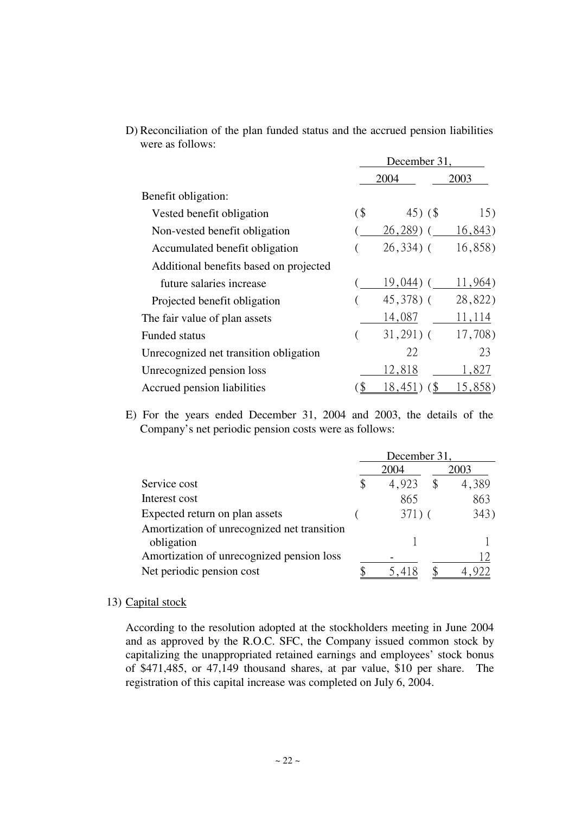|                                        | December 31 |               |         |  |  |
|----------------------------------------|-------------|---------------|---------|--|--|
|                                        |             | 2004          | 2003    |  |  |
| Benefit obligation:                    |             |               |         |  |  |
| Vested benefit obligation              | (           | 45 $)$ (\$)   | 15)     |  |  |
| Non-vested benefit obligation          |             | $(26, 289)$ ( | 16,843) |  |  |
| Accumulated benefit obligation         |             | $26,334$ ) (  | 16,858) |  |  |
| Additional benefits based on projected |             |               |         |  |  |
| future salaries increase               |             | $19,044$ ) (  | 11,964) |  |  |
| Projected benefit obligation           |             | $45,378$ ) (  | 28,822) |  |  |
| The fair value of plan assets          |             | 14,087        | 11,114  |  |  |
| <b>Funded status</b>                   |             | $31,291)$ (   | 17,708) |  |  |
| Unrecognized net transition obligation |             | 22            | 23      |  |  |
| Unrecognized pension loss              |             | 12,818        | 1,827   |  |  |
| Accrued pension liabilities            | \$          | 18,451        | 15,858) |  |  |

D) Reconciliation of the plan funded status and the accrued pension liabilities were as follows:

E) For the years ended December 31, 2004 and 2003, the details of the Company's net periodic pension costs were as follows:

|                                             | December 31, |          |    |       |  |  |
|---------------------------------------------|--------------|----------|----|-------|--|--|
|                                             | 2004         |          |    | 2003  |  |  |
| Service cost                                | \$           | 4,923    | \$ | 4,389 |  |  |
| Interest cost                               |              | 865      |    | 863   |  |  |
| Expected return on plan assets              |              | $371)$ ( |    | 343)  |  |  |
| Amortization of unrecognized net transition |              |          |    |       |  |  |
| obligation                                  |              |          |    |       |  |  |
| Amortization of unrecognized pension loss   |              |          |    |       |  |  |
| Net periodic pension cost                   |              |          |    |       |  |  |

## 13) Capital stock

According to the resolution adopted at the stockholders meeting in June 2004 and as approved by the R.O.C. SFC, the Company issued common stock by capitalizing the unappropriated retained earnings and employees' stock bonus of \$471,485, or 47,149 thousand shares, at par value, \$10 per share. The registration of this capital increase was completed on July 6, 2004.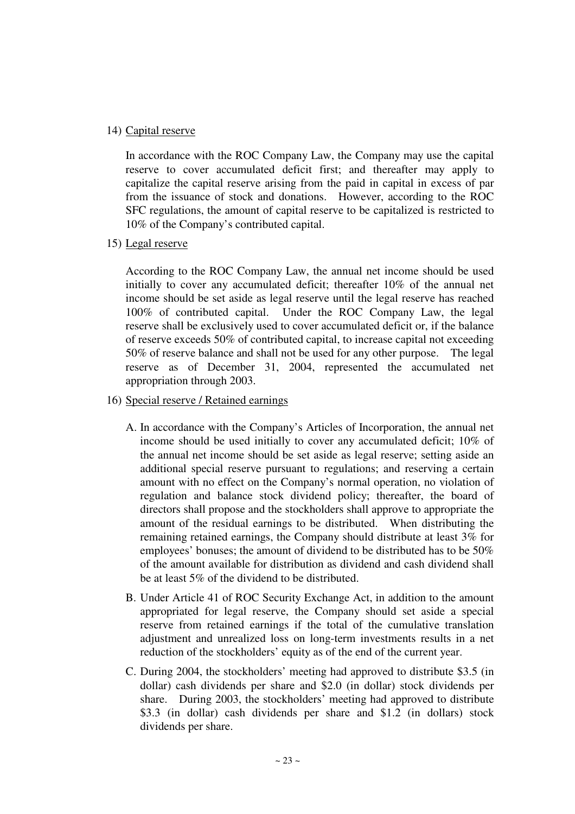## 14) Capital reserve

In accordance with the ROC Company Law, the Company may use the capital reserve to cover accumulated deficit first; and thereafter may apply to capitalize the capital reserve arising from the paid in capital in excess of par from the issuance of stock and donations. However, according to the ROC SFC regulations, the amount of capital reserve to be capitalized is restricted to 10% of the Company's contributed capital.

15) Legal reserve

According to the ROC Company Law, the annual net income should be used initially to cover any accumulated deficit; thereafter 10% of the annual net income should be set aside as legal reserve until the legal reserve has reached 100% of contributed capital. Under the ROC Company Law, the legal reserve shall be exclusively used to cover accumulated deficit or, if the balance of reserve exceeds 50% of contributed capital, to increase capital not exceeding 50% of reserve balance and shall not be used for any other purpose. The legal reserve as of December 31, 2004, represented the accumulated net appropriation through 2003.

- 16) Special reserve / Retained earnings
	- A. In accordance with the Company's Articles of Incorporation, the annual net income should be used initially to cover any accumulated deficit; 10% of the annual net income should be set aside as legal reserve; setting aside an additional special reserve pursuant to regulations; and reserving a certain amount with no effect on the Company's normal operation, no violation of regulation and balance stock dividend policy; thereafter, the board of directors shall propose and the stockholders shall approve to appropriate the amount of the residual earnings to be distributed. When distributing the remaining retained earnings, the Company should distribute at least 3% for employees' bonuses; the amount of dividend to be distributed has to be 50% of the amount available for distribution as dividend and cash dividend shall be at least 5% of the dividend to be distributed.
	- B. Under Article 41 of ROC Security Exchange Act, in addition to the amount appropriated for legal reserve, the Company should set aside a special reserve from retained earnings if the total of the cumulative translation adjustment and unrealized loss on long-term investments results in a net reduction of the stockholders' equity as of the end of the current year.
	- C. During 2004, the stockholders' meeting had approved to distribute \$3.5 (in dollar) cash dividends per share and \$2.0 (in dollar) stock dividends per share. During 2003, the stockholders' meeting had approved to distribute \$3.3 (in dollar) cash dividends per share and \$1.2 (in dollars) stock dividends per share.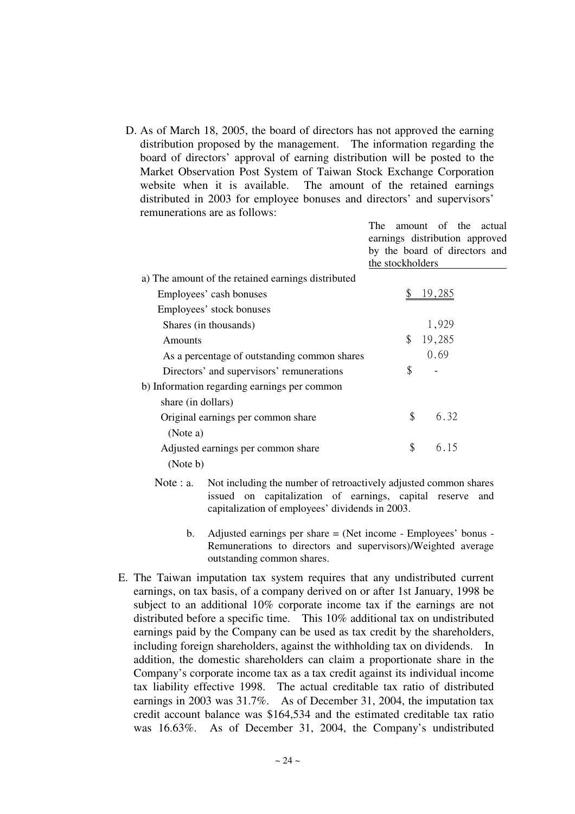D. As of March 18, 2005, the board of directors has not approved the earning distribution proposed by the management. The information regarding the board of directors' approval of earning distribution will be posted to the Market Observation Post System of Taiwan Stock Exchange Corporation website when it is available. The amount of the retained earnings distributed in 2003 for employee bonuses and directors' and supervisors' remunerations are as follows:

> The amount of the actual earnings distribution approved by the board of directors and the stockholders

| a) The amount of the retained earnings distributed |              |  |
|----------------------------------------------------|--------------|--|
| Employees' cash bonuses                            | 19.285       |  |
| Employees' stock bonuses                           |              |  |
| Shares (in thousands)                              | 1,929        |  |
| Amounts                                            | 19,285<br>\$ |  |
| As a percentage of outstanding common shares       | 0.69         |  |
| Directors' and supervisors' remunerations          | \$           |  |
| b) Information regarding earnings per common       |              |  |
| share (in dollars)                                 |              |  |
| Original earnings per common share                 | \$<br>6.32   |  |
| (Note a)                                           |              |  |
| Adjusted earnings per common share                 | \$<br>6.15   |  |
| (Note b)                                           |              |  |

- Note : a. Not including the number of retroactively adjusted common shares issued on capitalization of earnings, capital reserve and capitalization of employees' dividends in 2003.
	- b. Adjusted earnings per share = (Net income Employees' bonus Remunerations to directors and supervisors)/Weighted average outstanding common shares.
- E. The Taiwan imputation tax system requires that any undistributed current earnings, on tax basis, of a company derived on or after 1st January, 1998 be subject to an additional 10% corporate income tax if the earnings are not distributed before a specific time. This 10% additional tax on undistributed earnings paid by the Company can be used as tax credit by the shareholders, including foreign shareholders, against the withholding tax on dividends. In addition, the domestic shareholders can claim a proportionate share in the Company's corporate income tax as a tax credit against its individual income tax liability effective 1998. The actual creditable tax ratio of distributed earnings in 2003 was 31.7%. As of December 31, 2004, the imputation tax credit account balance was \$164,534 and the estimated creditable tax ratio was 16.63%. As of December 31, 2004, the Company's undistributed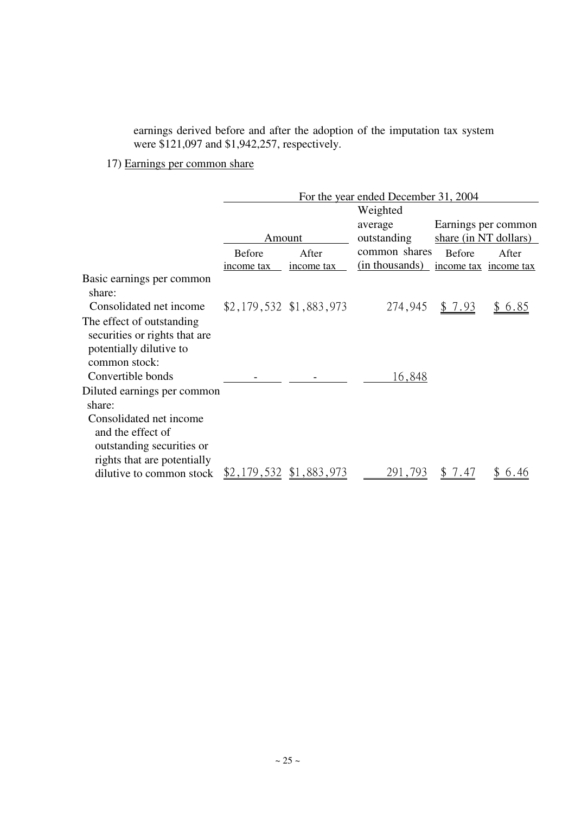earnings derived before and after the adoption of the imputation tax system were \$121,097 and \$1,942,257, respectively.

## 17) Earnings per common share

|                                                                                       |                          |                          | For the year ended December 31, 2004 |                       |                       |  |
|---------------------------------------------------------------------------------------|--------------------------|--------------------------|--------------------------------------|-----------------------|-----------------------|--|
|                                                                                       |                          |                          | Weighted                             |                       |                       |  |
|                                                                                       |                          |                          | average                              | Earnings per common   |                       |  |
|                                                                                       | Amount                   |                          | outstanding                          | share (in NT dollars) |                       |  |
|                                                                                       | <b>Before</b>            | After                    | common shares                        | <b>Before</b>         | After                 |  |
|                                                                                       | income tax               | income tax               | (in thousands)                       |                       | income tax income tax |  |
| Basic earnings per common<br>share:                                                   |                          |                          |                                      |                       |                       |  |
| Consolidated net income                                                               |                          | $$2,179,532$ \$1,883,973 | 274,945                              | \$ 7.93               | \$6.85                |  |
| The effect of outstanding<br>securities or rights that are<br>potentially dilutive to |                          |                          |                                      |                       |                       |  |
| common stock:                                                                         |                          |                          |                                      |                       |                       |  |
| Convertible bonds                                                                     |                          |                          | 16,848                               |                       |                       |  |
| Diluted earnings per common<br>share:                                                 |                          |                          |                                      |                       |                       |  |
| Consolidated net income<br>and the effect of<br>outstanding securities or             |                          |                          |                                      |                       |                       |  |
| rights that are potentially<br>dilutive to common stock                               | $$2,179,532$ \$1,883,973 |                          | 291,793                              | \$ 7.47               | 6.46                  |  |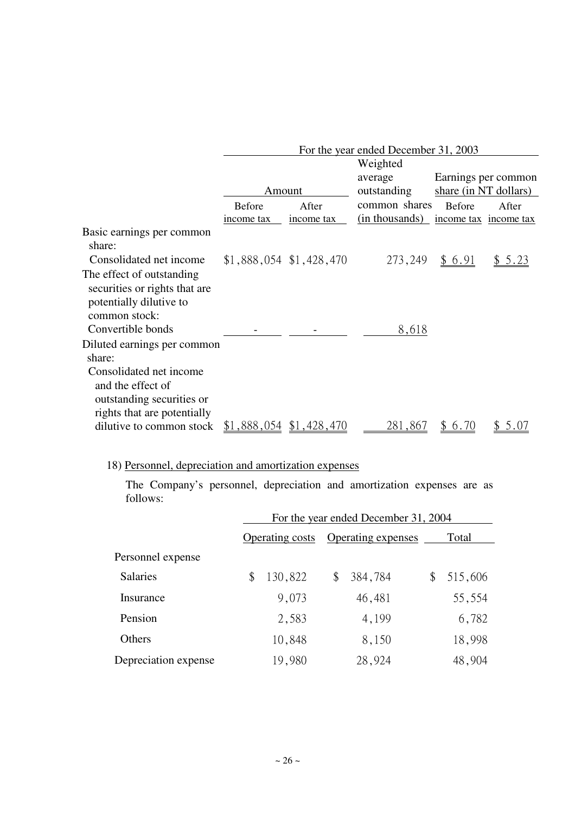|                                                                                                          |               |                          | For the year ended December 31, 2003 |                       |                       |  |
|----------------------------------------------------------------------------------------------------------|---------------|--------------------------|--------------------------------------|-----------------------|-----------------------|--|
|                                                                                                          |               |                          | Weighted                             |                       |                       |  |
|                                                                                                          |               |                          | average                              |                       | Earnings per common   |  |
|                                                                                                          | Amount        |                          | outstanding                          | share (in NT dollars) |                       |  |
|                                                                                                          | <b>Before</b> | After                    | common shares                        | <b>Before</b>         | After                 |  |
|                                                                                                          | income tax    | income tax               | (in thousands)                       |                       | income tax income tax |  |
| Basic earnings per common<br>share:                                                                      |               |                          |                                      |                       |                       |  |
| Consolidated net income                                                                                  |               | $$1,888,054$ \$1,428,470 | 273,249                              | \$ 6.91               | \$ 5.23               |  |
| The effect of outstanding<br>securities or rights that are<br>potentially dilutive to                    |               |                          |                                      |                       |                       |  |
| common stock:                                                                                            |               |                          |                                      |                       |                       |  |
| Convertible bonds                                                                                        |               |                          | 8,618                                |                       |                       |  |
| Diluted earnings per common<br>share:                                                                    |               |                          |                                      |                       |                       |  |
| Consolidated net income<br>and the effect of<br>outstanding securities or<br>rights that are potentially |               |                          |                                      |                       |                       |  |
| dilutive to common stock                                                                                 |               | $$1,888,054$ \$1,428,470 | 281,867                              | 6.70<br>$\mathbb{S}$  | 5.0 $/$               |  |

# 18) Personnel, depreciation and amortization expenses

The Company's personnel, depreciation and amortization expenses are as follows:

|                      | For the year ended December 31, 2004 |                        |    |                           |    |         |  |
|----------------------|--------------------------------------|------------------------|----|---------------------------|----|---------|--|
|                      |                                      | <b>Operating costs</b> |    | <b>Operating expenses</b> |    | Total   |  |
| Personnel expense    |                                      |                        |    |                           |    |         |  |
| <b>Salaries</b>      | \$                                   | 130,822                | \$ | 384,784                   | \$ | 515,606 |  |
| Insurance            |                                      | 9,073                  |    | 46,481                    |    | 55,554  |  |
| Pension              |                                      | 2,583                  |    | 4,199                     |    | 6,782   |  |
| Others               |                                      | 10,848                 |    | 8,150                     |    | 18,998  |  |
| Depreciation expense |                                      | 19,980                 |    | 28,924                    |    | 48,904  |  |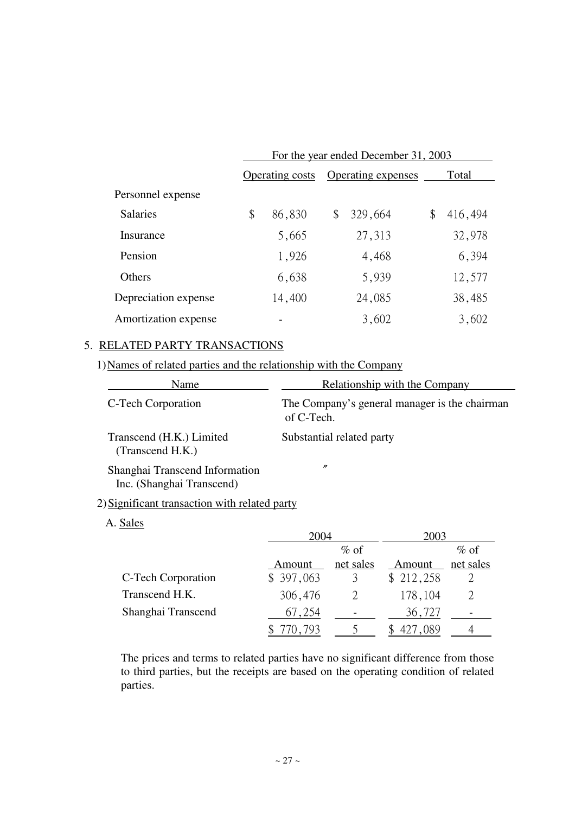|                      | For the year ended December 31, 2003 |        |                           |         |    |         |  |
|----------------------|--------------------------------------|--------|---------------------------|---------|----|---------|--|
|                      | <b>Operating costs</b>               |        | <b>Operating expenses</b> |         |    | Total   |  |
| Personnel expense    |                                      |        |                           |         |    |         |  |
| <b>Salaries</b>      | \$                                   | 86,830 | \$                        | 329,664 | \$ | 416,494 |  |
| Insurance            |                                      | 5,665  |                           | 27,313  |    | 32,978  |  |
| Pension              |                                      | 1,926  |                           | 4,468   |    | 6,394   |  |
| <b>Others</b>        |                                      | 6,638  |                           | 5,939   |    | 12,577  |  |
| Depreciation expense |                                      | 14,400 |                           | 24,085  |    | 38,485  |  |
| Amortization expense |                                      |        |                           | 3,602   |    | 3,602   |  |

## 5. RELATED PARTY TRANSACTIONS

1) Names of related parties and the relationship with the Company

| Name                                                        | Relationship with the Company                               |
|-------------------------------------------------------------|-------------------------------------------------------------|
| C-Tech Corporation                                          | The Company's general manager is the chairman<br>of C-Tech. |
| Transcend (H.K.) Limited<br>(Transcend H.K.)                | Substantial related party                                   |
| Shanghai Transcend Information<br>Inc. (Shanghai Transcend) | $\prime\prime$                                              |

## 2) Significant transaction with related party

## A. Sales

|                    | 2004      |           | 2003      |           |  |
|--------------------|-----------|-----------|-----------|-----------|--|
|                    |           | $\%$ of   |           | $\%$ of   |  |
|                    | Amount    | net sales | Amount    | net sales |  |
| C-Tech Corporation | \$397,063 |           | \$212,258 |           |  |
| Transcend H.K.     | 306,476   |           | 178,104   |           |  |
| Shanghai Transcend | 67,254    |           | 36,727    |           |  |
|                    | 70,793    |           | 089       |           |  |

The prices and terms to related parties have no significant difference from those to third parties, but the receipts are based on the operating condition of related parties.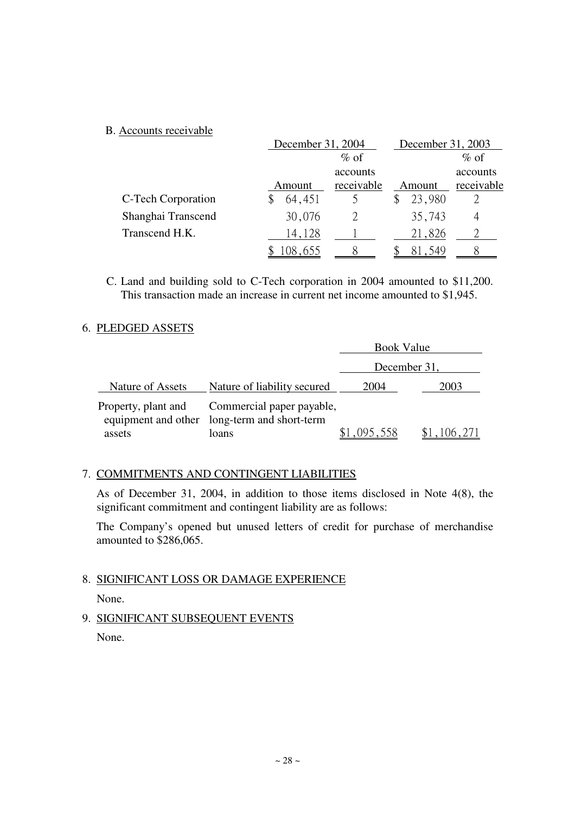## B. Accounts receivable

|                    | December 31, 2004 |            | December 31, 2003 |            |  |
|--------------------|-------------------|------------|-------------------|------------|--|
|                    | $\%$ of           |            |                   | $\%$ of    |  |
|                    |                   | accounts   |                   | accounts   |  |
|                    | Amount            | receivable | Amount            | receivable |  |
| C-Tech Corporation | 64,451            |            | 23,980            |            |  |
| Shanghai Transcend | 30,076            |            | 35,743            | 4          |  |
| Transcend H.K.     | 14,128            |            | 21,826            |            |  |
|                    | 08.655            |            |                   |            |  |

C. Land and building sold to C-Tech corporation in 2004 amounted to \$11,200. This transaction made an increase in current net income amounted to \$1,945.

## 6. PLEDGED ASSETS

|                               |                                                                                    | <b>Book Value</b> |         |  |  |
|-------------------------------|------------------------------------------------------------------------------------|-------------------|---------|--|--|
|                               |                                                                                    | December 31,      |         |  |  |
| Nature of Assets              | Nature of liability secured                                                        | 2004              | 2003    |  |  |
| Property, plant and<br>assets | Commercial paper payable,<br>equipment and other long-term and short-term<br>loans | ,095,558          | 106,271 |  |  |

## 7. COMMITMENTS AND CONTINGENT LIABILITIES

As of December 31, 2004, in addition to those items disclosed in Note 4(8), the significant commitment and contingent liability are as follows:

The Company's opened but unused letters of credit for purchase of merchandise amounted to \$286,065.

## 8. SIGNIFICANT LOSS OR DAMAGE EXPERIENCE

None.

9. SIGNIFICANT SUBSEQUENT EVENTS

None.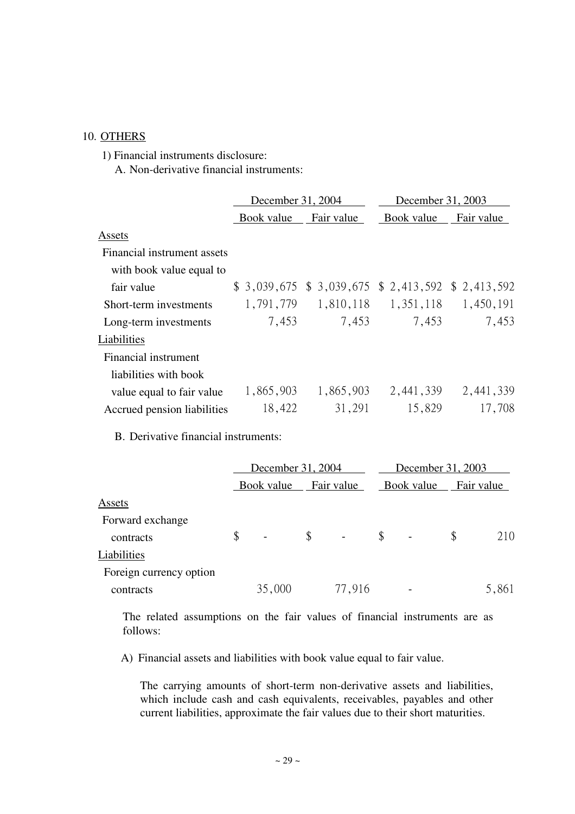## 10. OTHERS

1) Financial instruments disclosure:

A. Non-derivative financial instruments:

|                             | December 31, 2004 |                                                     | December 31, 2003 |            |  |
|-----------------------------|-------------------|-----------------------------------------------------|-------------------|------------|--|
|                             | Book value        | Fair value                                          | Book value        | Fair value |  |
| Assets                      |                   |                                                     |                   |            |  |
| Financial instrument assets |                   |                                                     |                   |            |  |
| with book value equal to    |                   |                                                     |                   |            |  |
| fair value                  |                   | $$3,039,675$ $$3,039,675$ $$2,413,592$ $$2,413,592$ |                   |            |  |
| Short-term investments      | 1,791,779         | 1,810,118                                           | 1,351,118         | 1,450,191  |  |
| Long-term investments       | 7,453             | 7,453                                               | 7,453             | 7,453      |  |
| Liabilities                 |                   |                                                     |                   |            |  |
| Financial instrument        |                   |                                                     |                   |            |  |
| liabilities with book       |                   |                                                     |                   |            |  |
| value equal to fair value   | 1,865,903         | 1,865,903                                           | 2,441,339         | 2,441,339  |  |
| Accrued pension liabilities | 18,422            | 31,291                                              | 15,829            | 17,708     |  |

B. Derivative financial instruments:

|                         | December 31, 2004    |    |            |    | December 31, 2003 |    |            |  |
|-------------------------|----------------------|----|------------|----|-------------------|----|------------|--|
|                         | Book value           |    | Fair value |    | Book value        |    | Fair value |  |
| Assets                  |                      |    |            |    |                   |    |            |  |
| Forward exchange        |                      |    |            |    |                   |    |            |  |
| contracts               | \$<br>$\blacksquare$ | \$ |            | \$ |                   | \$ | 210        |  |
| Liabilities             |                      |    |            |    |                   |    |            |  |
| Foreign currency option |                      |    |            |    |                   |    |            |  |
| contracts               | 35,000               |    | 77,916     |    |                   |    | 5,861      |  |

The related assumptions on the fair values of financial instruments are as follows:

A) Financial assets and liabilities with book value equal to fair value.

The carrying amounts of short-term non-derivative assets and liabilities, which include cash and cash equivalents, receivables, payables and other current liabilities, approximate the fair values due to their short maturities.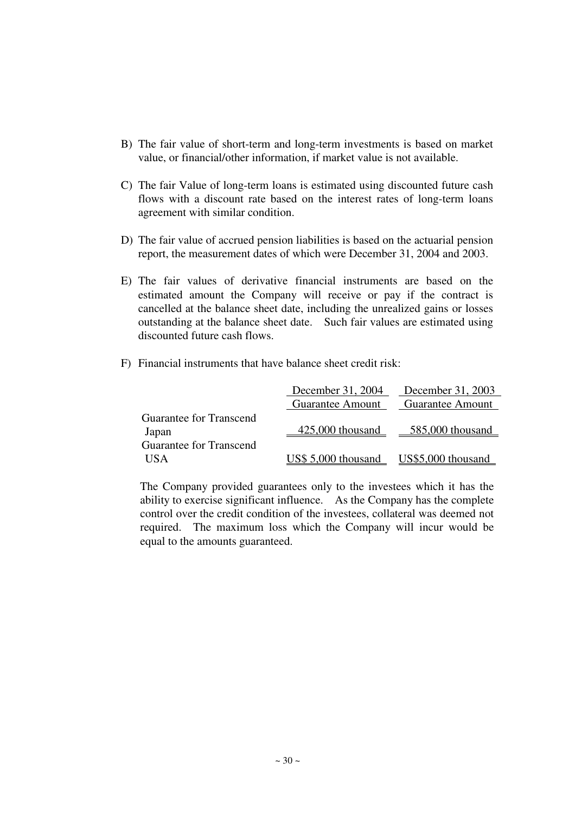- B) The fair value of short-term and long-term investments is based on market value, or financial/other information, if market value is not available.
- C) The fair Value of long-term loans is estimated using discounted future cash flows with a discount rate based on the interest rates of long-term loans agreement with similar condition.
- D) The fair value of accrued pension liabilities is based on the actuarial pension report, the measurement dates of which were December 31, 2004 and 2003.
- E) The fair values of derivative financial instruments are based on the estimated amount the Company will receive or pay if the contract is cancelled at the balance sheet date, including the unrealized gains or losses outstanding at the balance sheet date. Such fair values are estimated using discounted future cash flows.
- F) Financial instruments that have balance sheet credit risk:

|                                |                                        | December 31, 2004 December 31, 2003 |
|--------------------------------|----------------------------------------|-------------------------------------|
|                                | <b>Guarantee Amount</b>                | <b>Guarantee Amount</b>             |
| Guarantee for Transcend        |                                        |                                     |
| Japan                          |                                        | 425,000 thousand 585,000 thousand   |
| <b>Guarantee for Transcend</b> |                                        |                                     |
| <b>USA</b>                     | US\$ 5,000 thousand US\$5,000 thousand |                                     |

The Company provided guarantees only to the investees which it has the ability to exercise significant influence. As the Company has the complete control over the credit condition of the investees, collateral was deemed not required. The maximum loss which the Company will incur would be equal to the amounts guaranteed.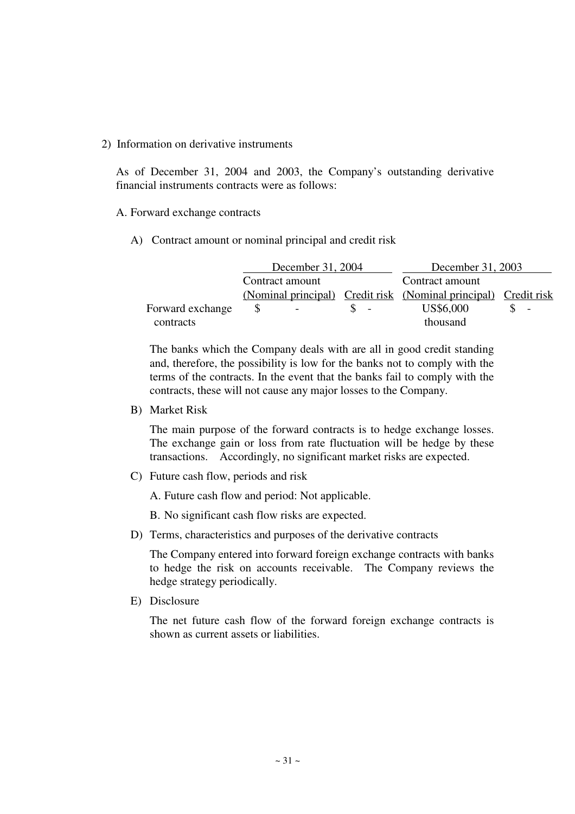#### 2) Information on derivative instruments

As of December 31, 2004 and 2003, the Company's outstanding derivative financial instruments contracts were as follows:

#### A. Forward exchange contracts

A) Contract amount or nominal principal and credit risk

|                  | December 31, 2004        | December 31, 2003                                               |                          |  |  |  |
|------------------|--------------------------|-----------------------------------------------------------------|--------------------------|--|--|--|
|                  | Contract amount          | Contract amount                                                 |                          |  |  |  |
|                  |                          | (Nominal principal) Credit risk (Nominal principal) Credit risk |                          |  |  |  |
| Forward exchange | $\overline{\phantom{a}}$ | US\$6,000                                                       | $\overline{\phantom{a}}$ |  |  |  |
| contracts        |                          | thousand                                                        |                          |  |  |  |

The banks which the Company deals with are all in good credit standing and, therefore, the possibility is low for the banks not to comply with the terms of the contracts. In the event that the banks fail to comply with the contracts, these will not cause any major losses to the Company.

B) Market Risk

The main purpose of the forward contracts is to hedge exchange losses. The exchange gain or loss from rate fluctuation will be hedge by these transactions. Accordingly, no significant market risks are expected.

C) Future cash flow, periods and risk

A. Future cash flow and period: Not applicable.

B. No significant cash flow risks are expected.

D) Terms, characteristics and purposes of the derivative contracts

The Company entered into forward foreign exchange contracts with banks to hedge the risk on accounts receivable. The Company reviews the hedge strategy periodically.

E) Disclosure

The net future cash flow of the forward foreign exchange contracts is shown as current assets or liabilities.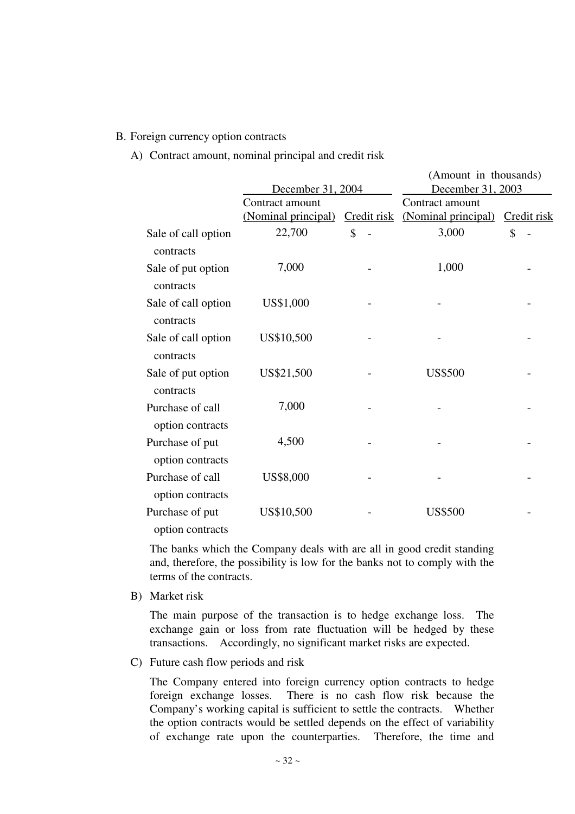#### B. Foreign currency option contracts

A) Contract amount, nominal principal and credit risk

|                                      |                     |             | (Amount in thousands) |             |
|--------------------------------------|---------------------|-------------|-----------------------|-------------|
|                                      | December 31, 2004   |             | December 31, 2003     |             |
|                                      | Contract amount     |             | Contract amount       |             |
|                                      | (Nominal principal) | Credit risk | (Nominal principal)   | Credit risk |
| Sale of call option<br>contracts     | 22,700              | \$          | 3,000                 | \$          |
| Sale of put option<br>contracts      | 7,000               |             | 1,000                 |             |
| Sale of call option<br>contracts     | US\$1,000           |             |                       |             |
| Sale of call option<br>contracts     | US\$10,500          |             |                       |             |
| Sale of put option<br>contracts      | US\$21,500          |             | <b>US\$500</b>        |             |
| Purchase of call<br>option contracts | 7,000               |             |                       |             |
| Purchase of put<br>option contracts  | 4,500               |             |                       |             |
| Purchase of call<br>option contracts | US\$8,000           |             |                       |             |
| Purchase of put<br>option contracts  | US\$10,500          |             | <b>US\$500</b>        |             |

The banks which the Company deals with are all in good credit standing and, therefore, the possibility is low for the banks not to comply with the terms of the contracts.

B) Market risk

The main purpose of the transaction is to hedge exchange loss. The exchange gain or loss from rate fluctuation will be hedged by these transactions. Accordingly, no significant market risks are expected.

C) Future cash flow periods and risk

The Company entered into foreign currency option contracts to hedge foreign exchange losses. There is no cash flow risk because the Company's working capital is sufficient to settle the contracts. Whether the option contracts would be settled depends on the effect of variability of exchange rate upon the counterparties. Therefore, the time and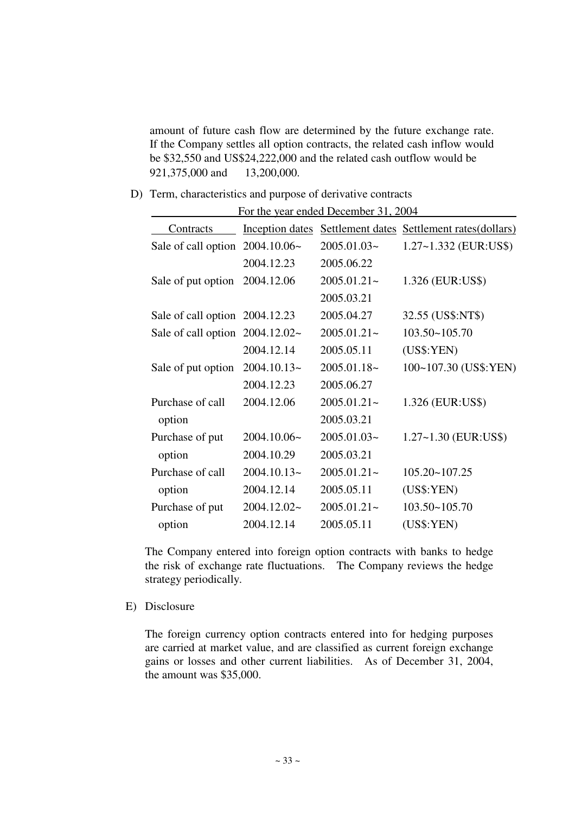amount of future cash flow are determined by the future exchange rate. If the Company settles all option contracts, the related cash inflow would be \$32,550 and US\$24,222,000 and the related cash outflow would be 921,375,000 and 13,200,000.

D) Term, characteristics and purpose of derivative contracts

| For the year ended December 31, 2004 |                 |                |                                            |  |  |  |  |  |  |  |  |
|--------------------------------------|-----------------|----------------|--------------------------------------------|--|--|--|--|--|--|--|--|
| Contracts                            | Inception dates |                | Settlement dates Settlement rates(dollars) |  |  |  |  |  |  |  |  |
| Sale of call option $2004.10.06~$    |                 | $2005.01.03-$  | 1.27~1.332 (EUR:US\$)                      |  |  |  |  |  |  |  |  |
|                                      | 2004.12.23      | 2005.06.22     |                                            |  |  |  |  |  |  |  |  |
| Sale of put option                   | 2004.12.06      | $2005.01.21 -$ | 1.326 (EUR:US\$)                           |  |  |  |  |  |  |  |  |
|                                      |                 | 2005.03.21     |                                            |  |  |  |  |  |  |  |  |
| Sale of call option 2004.12.23       |                 | 2005.04.27     | 32.55 (US\$:NT\$)                          |  |  |  |  |  |  |  |  |
| Sale of call option $2004.12.02$ ~   |                 | $2005.01.21 -$ | 103.50~105.70                              |  |  |  |  |  |  |  |  |
|                                      | 2004.12.14      | 2005.05.11     | (US\$:YEN)                                 |  |  |  |  |  |  |  |  |
| Sale of put option                   | $2004.10.13-$   | $2005.01.18-$  | 100~107.30 (US\$:YEN)                      |  |  |  |  |  |  |  |  |
|                                      | 2004.12.23      | 2005.06.27     |                                            |  |  |  |  |  |  |  |  |
| Purchase of call                     | 2004.12.06      | $2005.01.21 -$ | 1.326 (EUR:US\$)                           |  |  |  |  |  |  |  |  |
| option                               |                 | 2005.03.21     |                                            |  |  |  |  |  |  |  |  |
| Purchase of put                      | 2004.10.06~     | $2005.01.03-$  | $1.27 - 1.30$ (EUR:US\$)                   |  |  |  |  |  |  |  |  |
| option                               | 2004.10.29      | 2005.03.21     |                                            |  |  |  |  |  |  |  |  |
| Purchase of call                     | $2004.10.13-$   | $2005.01.21 -$ | 105.20~107.25                              |  |  |  |  |  |  |  |  |
| option                               | 2004.12.14      | 2005.05.11     | (US\$:YEN)                                 |  |  |  |  |  |  |  |  |
| Purchase of put                      | 2004.12.02~     | $2005.01.21 -$ | $103.50 - 105.70$                          |  |  |  |  |  |  |  |  |
| option                               | 2004.12.14      | 2005.05.11     | (US\$:YEN)                                 |  |  |  |  |  |  |  |  |

The Company entered into foreign option contracts with banks to hedge the risk of exchange rate fluctuations. The Company reviews the hedge strategy periodically.

E) Disclosure

The foreign currency option contracts entered into for hedging purposes are carried at market value, and are classified as current foreign exchange gains or losses and other current liabilities. As of December 31, 2004, the amount was \$35,000.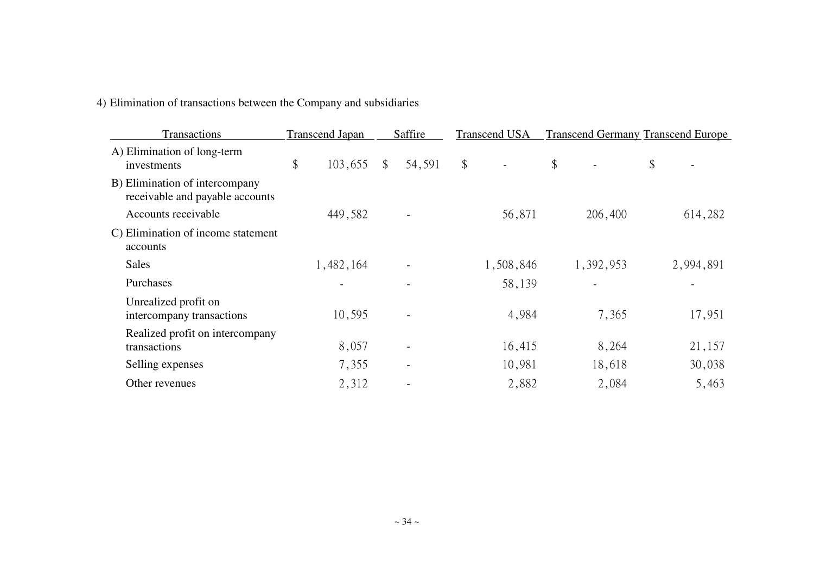## 4) Elimination of transactions between the Company and subsidiaries

| Transactions                                                      | <b>Transcend Japan</b> |                | Saffire |       | <b>Transcend USA</b> | <b>Transcend Germany Transcend Europe</b> |           |
|-------------------------------------------------------------------|------------------------|----------------|---------|-------|----------------------|-------------------------------------------|-----------|
| A) Elimination of long-term<br>investments                        | \$<br>103,655          | $\mathbb{S}^-$ | 54,591  | $\$\$ |                      | \$                                        | \$        |
| B) Elimination of intercompany<br>receivable and payable accounts |                        |                |         |       |                      |                                           |           |
| Accounts receivable                                               | 449,582                |                |         |       | 56,871               | 206,400                                   | 614,282   |
| C) Elimination of income statement<br>accounts                    |                        |                |         |       |                      |                                           |           |
| <b>Sales</b>                                                      | 1,482,164              |                |         |       | 1,508,846            | 1,392,953                                 | 2,994,891 |
| Purchases                                                         |                        |                |         |       | 58,139               |                                           |           |
| Unrealized profit on<br>intercompany transactions                 | 10,595                 |                |         |       | 4,984                | 7,365                                     | 17,951    |
| Realized profit on intercompany<br>transactions                   | 8,057                  |                |         |       | 16,415               | 8,264                                     | 21,157    |
| Selling expenses                                                  | 7,355                  |                |         |       | 10,981               | 18,618                                    | 30,038    |
| Other revenues                                                    | 2,312                  |                |         |       | 2,882                | 2,084                                     | 5,463     |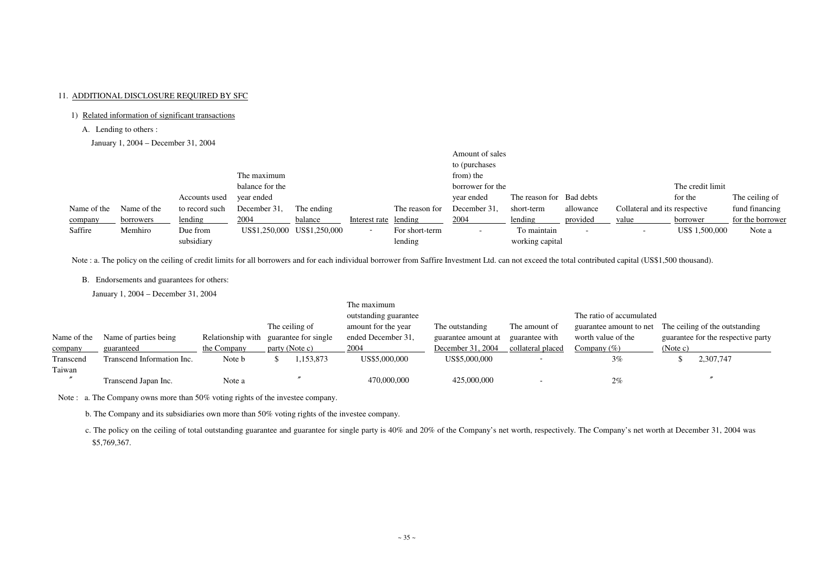## 11. ADDITIONAL DISCLOSURE REQUIRED BY SFC

### 1) Related information of significant transactions

- A. Lending to others :
- January 1, 2004 December 31, 2004

|                 |             |                |              |                             |                          |                                      | Amount of sales |                          |           |                               |                |                  |
|-----------------|-------------|----------------|--------------|-----------------------------|--------------------------|--------------------------------------|-----------------|--------------------------|-----------|-------------------------------|----------------|------------------|
|                 |             |                |              |                             |                          |                                      | to (purchases   |                          |           |                               |                |                  |
|                 |             |                | The maximum  |                             |                          |                                      | from) the       |                          |           |                               |                |                  |
| balance for the |             |                |              |                             |                          | The credit limit<br>borrower for the |                 |                          |           |                               |                |                  |
|                 |             | Accounts used  | year ended   |                             |                          |                                      | year ended      | The reason for Bad debts |           |                               | for the        | The ceiling of   |
| Name of the     | Name of the | to record such | December 31, | The ending                  |                          | The reason for                       | December 31,    | short-term               | allowance | Collateral and its respective |                | fund financing   |
| company         | borrowers   | lending        | 2004         | balance                     | Interest rate lending    |                                      | 2004            | lending                  | provided  | value                         | borrower       | for the borrower |
| Saffire         | Memhiro     | Due from       |              | US\$1,250,000 US\$1,250,000 | $\overline{\phantom{a}}$ | For short-term                       |                 | To maintain              |           | $\overline{\phantom{0}}$      | US\$ 1,500,000 | Note a           |
|                 |             | subsidiary     |              |                             |                          | lending                              |                 | working capital          |           |                               |                |                  |

Note : a. The policy on the ceiling of credit limits for all borrowers and for each individual borrower from Saffire Investment Ltd. can not exceed the total contributed capital (US\$1,500 thousand).

B. Endorsements and guarantees for others:

c. The policy on the ceiling of total outstanding guarantee and guarantee for single party is 40% and 20% of the Company's net worth, respectively. The Company's net worth at December 31, 2004 was \$5,769,367.

January 1, 2004 – December 31, 2004

|                        |                                     |                                  |                                                          | The maximum<br>outstanding guarantee              |                                                             | The ratio of accumulated                             |                                                                 |          |                                                                      |
|------------------------|-------------------------------------|----------------------------------|----------------------------------------------------------|---------------------------------------------------|-------------------------------------------------------------|------------------------------------------------------|-----------------------------------------------------------------|----------|----------------------------------------------------------------------|
| Name of the<br>company | Name of parties being<br>guaranteed | Relationship with<br>the Company | The ceiling of<br>guarantee for single<br>party (Note c) | amount for the year<br>ended December 31,<br>2004 | The outstanding<br>guarantee amount at<br>December 31, 2004 | The amount of<br>guarantee with<br>collateral placed | guarantee amount to net<br>worth value of the<br>Company $(\%)$ | (Note c) | The ceiling of the outstanding<br>guarantee for the respective party |
| Transcend              | Transcend Information Inc.          | Note b                           | ,153,873                                                 | US\$5,000,000                                     | US\$5,000,000                                               |                                                      | 3%                                                              |          | 2,307,747                                                            |
| Taiwan                 | Transcend Japan Inc.                | Note a                           |                                                          | 470,000,000                                       | 425,000,000                                                 | - -                                                  | 2%                                                              |          |                                                                      |

Note : a. The Company owns more than 50% voting rights of the investee company.

b. The Company and its subsidiaries own more than 50% voting rights of the investee company.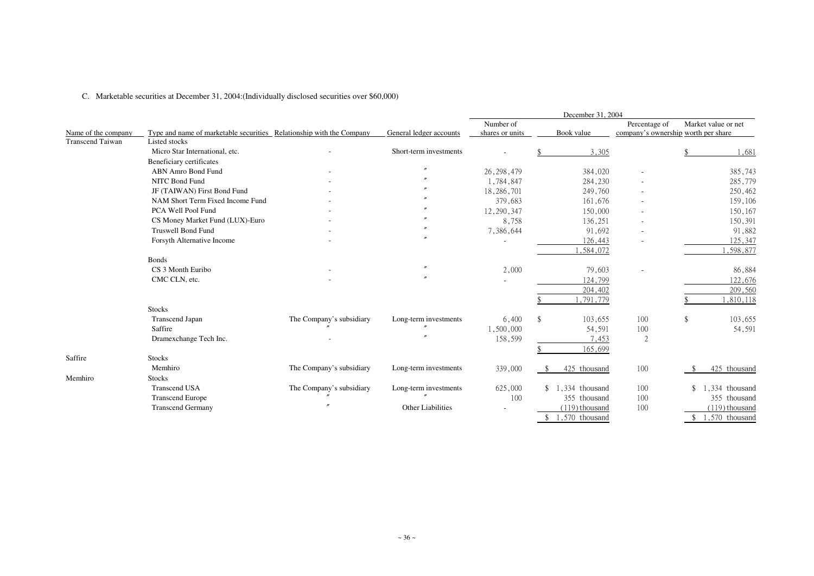|  | C. Marketable securities at December 31, 2004: (Individually disclosed securities over \$60,000) |  |
|--|--------------------------------------------------------------------------------------------------|--|
|--|--------------------------------------------------------------------------------------------------|--|

|                         |                                                                      |                          |                         |                 | December 31, 2004 |                                     |                     |
|-------------------------|----------------------------------------------------------------------|--------------------------|-------------------------|-----------------|-------------------|-------------------------------------|---------------------|
|                         |                                                                      |                          |                         | Number of       |                   | Percentage of                       | Market value or net |
| Name of the company     | Type and name of marketable securities Relationship with the Company |                          | General ledger accounts | shares or units | Book value        | company's ownership worth per share |                     |
| <b>Transcend Taiwan</b> | Listed stocks                                                        |                          |                         |                 |                   |                                     |                     |
|                         | Micro Star International, etc.                                       |                          | Short-term investments  |                 | 3,305             |                                     | ,681                |
|                         | Beneficiary certificates                                             |                          |                         |                 |                   |                                     |                     |
|                         | <b>ABN Amro Bond Fund</b>                                            |                          |                         | 26, 298, 479    | 384,020           | $\overline{\phantom{a}}$            | 385,743             |
|                         | NITC Bond Fund                                                       |                          |                         | 1,784,847       | 284,230           |                                     | 285,779             |
|                         | JF (TAIWAN) First Bond Fund                                          |                          |                         | 18,286,701      | 249,760           |                                     | 250,462             |
|                         | NAM Short Term Fixed Income Fund                                     |                          |                         | 379,683         | 161,676           |                                     | 159,106             |
|                         | PCA Well Pool Fund                                                   |                          |                         | 12, 290, 347    | 150,000           |                                     | 150,167             |
|                         | CS Money Market Fund (LUX)-Euro                                      |                          |                         | 8,758           | 136,251           |                                     | 150,391             |
|                         | <b>Truswell Bond Fund</b>                                            |                          |                         | 7,386,644       | 91,692            | $\overline{\phantom{a}}$            | 91,882              |
|                         | Forsyth Alternative Income                                           |                          |                         |                 | 126,443           |                                     | 125,347             |
|                         |                                                                      |                          |                         |                 | ,584,072          |                                     | ,598,877            |
|                         | <b>Bonds</b>                                                         |                          |                         |                 |                   |                                     |                     |
|                         | CS 3 Month Euribo                                                    |                          |                         | 2,000           | 79,603            |                                     | 86,884              |
|                         | CMC CLN, etc.                                                        |                          |                         |                 | 124,799           |                                     | 122,676             |
|                         |                                                                      |                          |                         |                 | 204,402           |                                     | 209,560             |
|                         |                                                                      |                          |                         |                 | 1,791,779         |                                     | ,810,118            |
|                         | <b>Stocks</b>                                                        |                          |                         |                 |                   |                                     |                     |
|                         | <b>Transcend Japan</b>                                               | The Company's subsidiary | Long-term investments   | 6,400           | $\$\$<br>103,655  | 100                                 | 103,655<br>\$       |
|                         | Saffire                                                              |                          |                         | 1,500,000       | 54,591            | 100                                 | 54,591              |
|                         | Dramexchange Tech Inc.                                               |                          |                         | 158,599         | 7,453             | $\overline{2}$                      |                     |
|                         |                                                                      |                          |                         |                 | 165,699           |                                     |                     |
| Saffire                 | <b>Stocks</b>                                                        |                          |                         |                 |                   |                                     |                     |
|                         | Memhiro                                                              | The Company's subsidiary | Long-term investments   | 339,000         | 425 thousand      | 100                                 | 425 thousand        |
| Memhiro                 | <b>Stocks</b>                                                        |                          |                         |                 |                   |                                     |                     |
|                         | <b>Transcend USA</b>                                                 | The Company's subsidiary | Long-term investments   | 625,000         | $$1,334$ thousand | 100                                 | 1,334 thousand      |
|                         | <b>Transcend Europe</b>                                              |                          |                         | 100             | 355 thousand      | 100                                 | 355 thousand        |
|                         | <b>Transcend Germany</b>                                             |                          | Other Liabilities       |                 | $(119)$ thousand  | 100                                 | $(119)$ thousand    |
|                         |                                                                      |                          |                         |                 | $$1,570$ thousand |                                     | 1,570 thousand      |
|                         |                                                                      |                          |                         |                 |                   |                                     |                     |

|    | ٠<br>۰<br>۰ |  |
|----|-------------|--|
| ۰. |             |  |

|                                 | Percentage of                       | Market value or net |                   |  |  |  |  |  |
|---------------------------------|-------------------------------------|---------------------|-------------------|--|--|--|--|--|
|                                 | company's ownership worth per share |                     |                   |  |  |  |  |  |
| $\overline{5}$                  |                                     | $\frac{1}{2}$       | 1,681             |  |  |  |  |  |
| $\overline{0}$                  |                                     |                     | 385,743           |  |  |  |  |  |
| $\overline{0}$                  |                                     |                     | 285,779           |  |  |  |  |  |
| $\overline{0}$                  |                                     |                     | 250,462           |  |  |  |  |  |
| 6                               |                                     |                     | 159,106           |  |  |  |  |  |
| $\overline{0}$                  |                                     |                     | 150,167           |  |  |  |  |  |
| $\mathbf{1}$                    |                                     |                     | 150,391           |  |  |  |  |  |
|                                 |                                     |                     | 91,882            |  |  |  |  |  |
|                                 |                                     |                     | 125,347           |  |  |  |  |  |
| $\frac{2}{2}$                   |                                     |                     | 1,598,877         |  |  |  |  |  |
| $\frac{39}{29}$                 |                                     |                     | 86,884            |  |  |  |  |  |
|                                 |                                     |                     | 122,676           |  |  |  |  |  |
|                                 |                                     |                     | 209,560           |  |  |  |  |  |
|                                 |                                     | \$                  | 1,810,118         |  |  |  |  |  |
| 5                               | 100                                 | \$                  | 103,655           |  |  |  |  |  |
| $\mathbf{1}$                    | 100                                 |                     | 54,591            |  |  |  |  |  |
| $\frac{3}{9}$                   | $\overline{2}$                      |                     |                   |  |  |  |  |  |
|                                 |                                     |                     |                   |  |  |  |  |  |
| $\overline{d}$                  | 100                                 | \$                  | thousand<br>425   |  |  |  |  |  |
| d                               | 100                                 | \$                  | 1,334<br>thousand |  |  |  |  |  |
| d                               | 100                                 |                     | 355 thousand      |  |  |  |  |  |
|                                 | 100                                 |                     | (119) thousand    |  |  |  |  |  |
| $\frac{\mathrm{d}}{\mathrm{d}}$ |                                     | \$                  | 1,570 thousand    |  |  |  |  |  |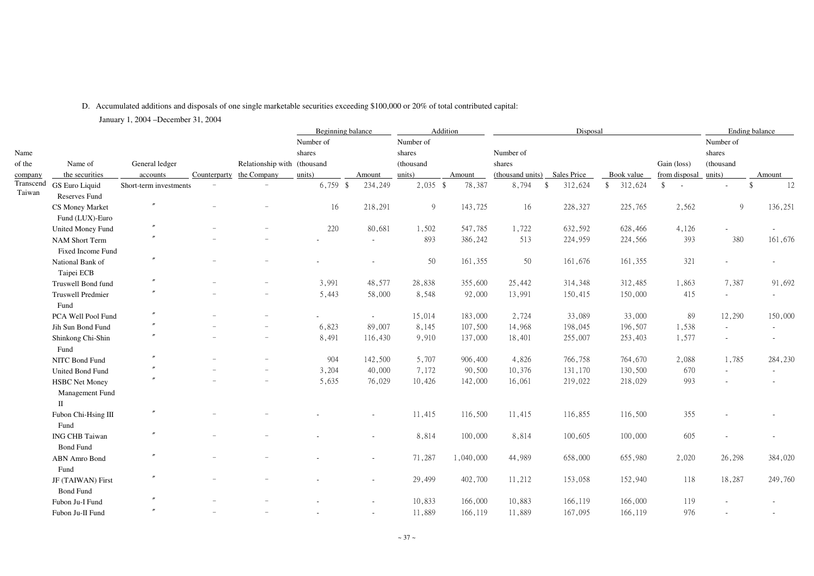# D. Accumulated additions and disposals of one single marketable securities exceeding \$100,000 or 20% of total contributed capital: January 1, 2004 –December 31, 2004

| Number of<br>Number of<br>Number of<br>Name<br>Number of<br>shares<br>shares<br>shares<br>General ledger<br>(thousand<br>of the<br>Name of<br>Relationship with (thousand<br>shares<br>Gain (loss)<br>(thousand<br>the securities<br>units)<br>from disposal<br>units)<br>Counterparty<br>the Company<br>(thousand units)<br><b>Sales Price</b><br>Book value<br>units)<br>Amount<br>accounts<br>Amount<br>Amount<br>company<br>Transcend<br>$6,759$ \$<br>234,249<br>$2,035$ \$<br>78,387<br>312,624<br>8,794<br>312,624<br>$\mathcal{S}$<br>$\frac{1}{2}$<br>GS Euro Liquid<br>Short-term investments<br>$\mathcal{S}$<br>$\sim$ $-$<br>Taiwan<br>Reserves Fund<br>218,291<br>9<br>143,725<br>9<br>16<br>228,327<br>225,765<br>2,562<br>16<br>CS Money Market<br>Fund (LUX)-Euro<br>$^{\prime\prime}$<br>220<br>80,681<br>1,502<br>547,785<br>1,722<br>632,592<br>628,466<br>4,126<br><b>United Money Fund</b><br>893<br>386,242<br>393<br>380<br>513<br>224,959<br>224,566<br>NAM Short Term<br>$\sim$<br>Fixed Income Fund<br>$\prime\prime$<br>50<br>50<br>321<br>161,355<br>161,355<br>161,676<br>National Bank of<br>Taipei ECB<br>$\prime\prime$<br>3,991<br>48,577<br>28,838<br>355,600<br>25,442<br>314,348<br>312,485<br>1,863<br>7,387<br>Truswell Bond fund<br>5,443<br>92,000<br>150,000<br>415<br>58,000<br>8,548<br>13,991<br>150,415<br><b>Truswell Predmier</b><br>$\sim$<br>Fund<br>33,000<br>89<br>12,290<br>15,014<br>183,000<br>2,724<br>33,089<br>PCA Well Pool Fund<br>$\sim$<br>6,823<br>196,507<br>89,007<br>8,145<br>107,500<br>14,968<br>198,045<br>1,538<br>Jih Sun Bond Fund<br>$\sim$<br>8,491<br>1,577<br>116,430<br>9,910<br>137,000<br>18,401<br>255,007<br>253,403<br>Shinkong Chi-Shin<br>$\overline{\phantom{m}}$<br>Fund<br>904<br>5,707<br>1,785<br>142,500<br>906,400<br>4,826<br>766,758<br>764,670<br>2,088<br>NITC Bond Fund<br>$\overline{\phantom{m}}$<br>3,204<br>7,172<br>90,500<br>130,500<br>40,000<br>10,376<br>131,170<br>670<br>United Bond Fund<br>$\overline{\phantom{m}}$<br>$\sim$<br>5,635<br>993<br>76,029<br>10,426<br>142,000<br>16,061<br>219,022<br>218,029<br><b>HSBC Net Money</b><br>Management Fund<br>$\mathbf{I}$<br>355<br>11,415<br>116,500<br>11,415<br>116,855<br>116,500<br>Fubon Chi-Hsing III<br>$\overline{\phantom{a}}$<br>Fund<br>8,814<br>100,000<br>100,605<br>100,000<br><b>ING CHB Taiwan</b><br>8,814<br>605<br>$\overline{\phantom{a}}$<br>$\overline{\phantom{m}}$<br>$\overline{\phantom{a}}$<br><b>Bond Fund</b><br>71,287<br>1,040,000<br>44,989<br>658,000<br>2,020<br>26,298<br>655,980<br>ABN Amro Bond<br>$\overline{\phantom{a}}$<br>Fund<br>29,499<br>402,700<br>152,940<br>118<br>11,212<br>153,058<br>18,287<br>JF (TAIWAN) First<br>$\sim$<br><b>Bond Fund</b><br>$^{\prime\prime}$<br>166,000<br>10,833<br>166,119<br>166,000<br>119<br>10,883<br>Fubon Ju-I Fund<br>$\sim$<br>$\overline{\phantom{a}}$<br>11,889<br>166,119<br>11,889<br>167,095<br>166,119<br>976<br>Fubon Ju-II Fund<br>$\overline{\phantom{a}}$ |  |  |  | <b>Beginning balance</b> |  | Addition |  | Disposal |  |  |  | Ending balance |         |
|-----------------------------------------------------------------------------------------------------------------------------------------------------------------------------------------------------------------------------------------------------------------------------------------------------------------------------------------------------------------------------------------------------------------------------------------------------------------------------------------------------------------------------------------------------------------------------------------------------------------------------------------------------------------------------------------------------------------------------------------------------------------------------------------------------------------------------------------------------------------------------------------------------------------------------------------------------------------------------------------------------------------------------------------------------------------------------------------------------------------------------------------------------------------------------------------------------------------------------------------------------------------------------------------------------------------------------------------------------------------------------------------------------------------------------------------------------------------------------------------------------------------------------------------------------------------------------------------------------------------------------------------------------------------------------------------------------------------------------------------------------------------------------------------------------------------------------------------------------------------------------------------------------------------------------------------------------------------------------------------------------------------------------------------------------------------------------------------------------------------------------------------------------------------------------------------------------------------------------------------------------------------------------------------------------------------------------------------------------------------------------------------------------------------------------------------------------------------------------------------------------------------------------------------------------------------------------------------------------------------------------------------------------------------------------------------------------------------------------------------------------------------------------------------------------------------------------------------------------------------------------------------------------------------------------------------------------------------------------------------------------------------------|--|--|--|--------------------------|--|----------|--|----------|--|--|--|----------------|---------|
|                                                                                                                                                                                                                                                                                                                                                                                                                                                                                                                                                                                                                                                                                                                                                                                                                                                                                                                                                                                                                                                                                                                                                                                                                                                                                                                                                                                                                                                                                                                                                                                                                                                                                                                                                                                                                                                                                                                                                                                                                                                                                                                                                                                                                                                                                                                                                                                                                                                                                                                                                                                                                                                                                                                                                                                                                                                                                                                                                                                                                       |  |  |  |                          |  |          |  |          |  |  |  |                |         |
|                                                                                                                                                                                                                                                                                                                                                                                                                                                                                                                                                                                                                                                                                                                                                                                                                                                                                                                                                                                                                                                                                                                                                                                                                                                                                                                                                                                                                                                                                                                                                                                                                                                                                                                                                                                                                                                                                                                                                                                                                                                                                                                                                                                                                                                                                                                                                                                                                                                                                                                                                                                                                                                                                                                                                                                                                                                                                                                                                                                                                       |  |  |  |                          |  |          |  |          |  |  |  |                |         |
|                                                                                                                                                                                                                                                                                                                                                                                                                                                                                                                                                                                                                                                                                                                                                                                                                                                                                                                                                                                                                                                                                                                                                                                                                                                                                                                                                                                                                                                                                                                                                                                                                                                                                                                                                                                                                                                                                                                                                                                                                                                                                                                                                                                                                                                                                                                                                                                                                                                                                                                                                                                                                                                                                                                                                                                                                                                                                                                                                                                                                       |  |  |  |                          |  |          |  |          |  |  |  |                |         |
|                                                                                                                                                                                                                                                                                                                                                                                                                                                                                                                                                                                                                                                                                                                                                                                                                                                                                                                                                                                                                                                                                                                                                                                                                                                                                                                                                                                                                                                                                                                                                                                                                                                                                                                                                                                                                                                                                                                                                                                                                                                                                                                                                                                                                                                                                                                                                                                                                                                                                                                                                                                                                                                                                                                                                                                                                                                                                                                                                                                                                       |  |  |  |                          |  |          |  |          |  |  |  |                |         |
|                                                                                                                                                                                                                                                                                                                                                                                                                                                                                                                                                                                                                                                                                                                                                                                                                                                                                                                                                                                                                                                                                                                                                                                                                                                                                                                                                                                                                                                                                                                                                                                                                                                                                                                                                                                                                                                                                                                                                                                                                                                                                                                                                                                                                                                                                                                                                                                                                                                                                                                                                                                                                                                                                                                                                                                                                                                                                                                                                                                                                       |  |  |  |                          |  |          |  |          |  |  |  |                | 12      |
|                                                                                                                                                                                                                                                                                                                                                                                                                                                                                                                                                                                                                                                                                                                                                                                                                                                                                                                                                                                                                                                                                                                                                                                                                                                                                                                                                                                                                                                                                                                                                                                                                                                                                                                                                                                                                                                                                                                                                                                                                                                                                                                                                                                                                                                                                                                                                                                                                                                                                                                                                                                                                                                                                                                                                                                                                                                                                                                                                                                                                       |  |  |  |                          |  |          |  |          |  |  |  |                |         |
|                                                                                                                                                                                                                                                                                                                                                                                                                                                                                                                                                                                                                                                                                                                                                                                                                                                                                                                                                                                                                                                                                                                                                                                                                                                                                                                                                                                                                                                                                                                                                                                                                                                                                                                                                                                                                                                                                                                                                                                                                                                                                                                                                                                                                                                                                                                                                                                                                                                                                                                                                                                                                                                                                                                                                                                                                                                                                                                                                                                                                       |  |  |  |                          |  |          |  |          |  |  |  |                | 136,251 |
|                                                                                                                                                                                                                                                                                                                                                                                                                                                                                                                                                                                                                                                                                                                                                                                                                                                                                                                                                                                                                                                                                                                                                                                                                                                                                                                                                                                                                                                                                                                                                                                                                                                                                                                                                                                                                                                                                                                                                                                                                                                                                                                                                                                                                                                                                                                                                                                                                                                                                                                                                                                                                                                                                                                                                                                                                                                                                                                                                                                                                       |  |  |  |                          |  |          |  |          |  |  |  |                |         |
|                                                                                                                                                                                                                                                                                                                                                                                                                                                                                                                                                                                                                                                                                                                                                                                                                                                                                                                                                                                                                                                                                                                                                                                                                                                                                                                                                                                                                                                                                                                                                                                                                                                                                                                                                                                                                                                                                                                                                                                                                                                                                                                                                                                                                                                                                                                                                                                                                                                                                                                                                                                                                                                                                                                                                                                                                                                                                                                                                                                                                       |  |  |  |                          |  |          |  |          |  |  |  |                |         |
|                                                                                                                                                                                                                                                                                                                                                                                                                                                                                                                                                                                                                                                                                                                                                                                                                                                                                                                                                                                                                                                                                                                                                                                                                                                                                                                                                                                                                                                                                                                                                                                                                                                                                                                                                                                                                                                                                                                                                                                                                                                                                                                                                                                                                                                                                                                                                                                                                                                                                                                                                                                                                                                                                                                                                                                                                                                                                                                                                                                                                       |  |  |  |                          |  |          |  |          |  |  |  |                | 161,676 |
|                                                                                                                                                                                                                                                                                                                                                                                                                                                                                                                                                                                                                                                                                                                                                                                                                                                                                                                                                                                                                                                                                                                                                                                                                                                                                                                                                                                                                                                                                                                                                                                                                                                                                                                                                                                                                                                                                                                                                                                                                                                                                                                                                                                                                                                                                                                                                                                                                                                                                                                                                                                                                                                                                                                                                                                                                                                                                                                                                                                                                       |  |  |  |                          |  |          |  |          |  |  |  |                |         |
|                                                                                                                                                                                                                                                                                                                                                                                                                                                                                                                                                                                                                                                                                                                                                                                                                                                                                                                                                                                                                                                                                                                                                                                                                                                                                                                                                                                                                                                                                                                                                                                                                                                                                                                                                                                                                                                                                                                                                                                                                                                                                                                                                                                                                                                                                                                                                                                                                                                                                                                                                                                                                                                                                                                                                                                                                                                                                                                                                                                                                       |  |  |  |                          |  |          |  |          |  |  |  |                |         |
|                                                                                                                                                                                                                                                                                                                                                                                                                                                                                                                                                                                                                                                                                                                                                                                                                                                                                                                                                                                                                                                                                                                                                                                                                                                                                                                                                                                                                                                                                                                                                                                                                                                                                                                                                                                                                                                                                                                                                                                                                                                                                                                                                                                                                                                                                                                                                                                                                                                                                                                                                                                                                                                                                                                                                                                                                                                                                                                                                                                                                       |  |  |  |                          |  |          |  |          |  |  |  |                |         |
|                                                                                                                                                                                                                                                                                                                                                                                                                                                                                                                                                                                                                                                                                                                                                                                                                                                                                                                                                                                                                                                                                                                                                                                                                                                                                                                                                                                                                                                                                                                                                                                                                                                                                                                                                                                                                                                                                                                                                                                                                                                                                                                                                                                                                                                                                                                                                                                                                                                                                                                                                                                                                                                                                                                                                                                                                                                                                                                                                                                                                       |  |  |  |                          |  |          |  |          |  |  |  |                | 91,692  |
|                                                                                                                                                                                                                                                                                                                                                                                                                                                                                                                                                                                                                                                                                                                                                                                                                                                                                                                                                                                                                                                                                                                                                                                                                                                                                                                                                                                                                                                                                                                                                                                                                                                                                                                                                                                                                                                                                                                                                                                                                                                                                                                                                                                                                                                                                                                                                                                                                                                                                                                                                                                                                                                                                                                                                                                                                                                                                                                                                                                                                       |  |  |  |                          |  |          |  |          |  |  |  |                |         |
|                                                                                                                                                                                                                                                                                                                                                                                                                                                                                                                                                                                                                                                                                                                                                                                                                                                                                                                                                                                                                                                                                                                                                                                                                                                                                                                                                                                                                                                                                                                                                                                                                                                                                                                                                                                                                                                                                                                                                                                                                                                                                                                                                                                                                                                                                                                                                                                                                                                                                                                                                                                                                                                                                                                                                                                                                                                                                                                                                                                                                       |  |  |  |                          |  |          |  |          |  |  |  |                |         |
|                                                                                                                                                                                                                                                                                                                                                                                                                                                                                                                                                                                                                                                                                                                                                                                                                                                                                                                                                                                                                                                                                                                                                                                                                                                                                                                                                                                                                                                                                                                                                                                                                                                                                                                                                                                                                                                                                                                                                                                                                                                                                                                                                                                                                                                                                                                                                                                                                                                                                                                                                                                                                                                                                                                                                                                                                                                                                                                                                                                                                       |  |  |  |                          |  |          |  |          |  |  |  |                | 150,000 |
|                                                                                                                                                                                                                                                                                                                                                                                                                                                                                                                                                                                                                                                                                                                                                                                                                                                                                                                                                                                                                                                                                                                                                                                                                                                                                                                                                                                                                                                                                                                                                                                                                                                                                                                                                                                                                                                                                                                                                                                                                                                                                                                                                                                                                                                                                                                                                                                                                                                                                                                                                                                                                                                                                                                                                                                                                                                                                                                                                                                                                       |  |  |  |                          |  |          |  |          |  |  |  |                |         |
|                                                                                                                                                                                                                                                                                                                                                                                                                                                                                                                                                                                                                                                                                                                                                                                                                                                                                                                                                                                                                                                                                                                                                                                                                                                                                                                                                                                                                                                                                                                                                                                                                                                                                                                                                                                                                                                                                                                                                                                                                                                                                                                                                                                                                                                                                                                                                                                                                                                                                                                                                                                                                                                                                                                                                                                                                                                                                                                                                                                                                       |  |  |  |                          |  |          |  |          |  |  |  |                |         |
|                                                                                                                                                                                                                                                                                                                                                                                                                                                                                                                                                                                                                                                                                                                                                                                                                                                                                                                                                                                                                                                                                                                                                                                                                                                                                                                                                                                                                                                                                                                                                                                                                                                                                                                                                                                                                                                                                                                                                                                                                                                                                                                                                                                                                                                                                                                                                                                                                                                                                                                                                                                                                                                                                                                                                                                                                                                                                                                                                                                                                       |  |  |  |                          |  |          |  |          |  |  |  |                |         |
|                                                                                                                                                                                                                                                                                                                                                                                                                                                                                                                                                                                                                                                                                                                                                                                                                                                                                                                                                                                                                                                                                                                                                                                                                                                                                                                                                                                                                                                                                                                                                                                                                                                                                                                                                                                                                                                                                                                                                                                                                                                                                                                                                                                                                                                                                                                                                                                                                                                                                                                                                                                                                                                                                                                                                                                                                                                                                                                                                                                                                       |  |  |  |                          |  |          |  |          |  |  |  |                | 284,230 |
|                                                                                                                                                                                                                                                                                                                                                                                                                                                                                                                                                                                                                                                                                                                                                                                                                                                                                                                                                                                                                                                                                                                                                                                                                                                                                                                                                                                                                                                                                                                                                                                                                                                                                                                                                                                                                                                                                                                                                                                                                                                                                                                                                                                                                                                                                                                                                                                                                                                                                                                                                                                                                                                                                                                                                                                                                                                                                                                                                                                                                       |  |  |  |                          |  |          |  |          |  |  |  |                |         |
|                                                                                                                                                                                                                                                                                                                                                                                                                                                                                                                                                                                                                                                                                                                                                                                                                                                                                                                                                                                                                                                                                                                                                                                                                                                                                                                                                                                                                                                                                                                                                                                                                                                                                                                                                                                                                                                                                                                                                                                                                                                                                                                                                                                                                                                                                                                                                                                                                                                                                                                                                                                                                                                                                                                                                                                                                                                                                                                                                                                                                       |  |  |  |                          |  |          |  |          |  |  |  |                |         |
|                                                                                                                                                                                                                                                                                                                                                                                                                                                                                                                                                                                                                                                                                                                                                                                                                                                                                                                                                                                                                                                                                                                                                                                                                                                                                                                                                                                                                                                                                                                                                                                                                                                                                                                                                                                                                                                                                                                                                                                                                                                                                                                                                                                                                                                                                                                                                                                                                                                                                                                                                                                                                                                                                                                                                                                                                                                                                                                                                                                                                       |  |  |  |                          |  |          |  |          |  |  |  |                |         |
|                                                                                                                                                                                                                                                                                                                                                                                                                                                                                                                                                                                                                                                                                                                                                                                                                                                                                                                                                                                                                                                                                                                                                                                                                                                                                                                                                                                                                                                                                                                                                                                                                                                                                                                                                                                                                                                                                                                                                                                                                                                                                                                                                                                                                                                                                                                                                                                                                                                                                                                                                                                                                                                                                                                                                                                                                                                                                                                                                                                                                       |  |  |  |                          |  |          |  |          |  |  |  |                |         |
|                                                                                                                                                                                                                                                                                                                                                                                                                                                                                                                                                                                                                                                                                                                                                                                                                                                                                                                                                                                                                                                                                                                                                                                                                                                                                                                                                                                                                                                                                                                                                                                                                                                                                                                                                                                                                                                                                                                                                                                                                                                                                                                                                                                                                                                                                                                                                                                                                                                                                                                                                                                                                                                                                                                                                                                                                                                                                                                                                                                                                       |  |  |  |                          |  |          |  |          |  |  |  |                |         |
|                                                                                                                                                                                                                                                                                                                                                                                                                                                                                                                                                                                                                                                                                                                                                                                                                                                                                                                                                                                                                                                                                                                                                                                                                                                                                                                                                                                                                                                                                                                                                                                                                                                                                                                                                                                                                                                                                                                                                                                                                                                                                                                                                                                                                                                                                                                                                                                                                                                                                                                                                                                                                                                                                                                                                                                                                                                                                                                                                                                                                       |  |  |  |                          |  |          |  |          |  |  |  |                |         |
|                                                                                                                                                                                                                                                                                                                                                                                                                                                                                                                                                                                                                                                                                                                                                                                                                                                                                                                                                                                                                                                                                                                                                                                                                                                                                                                                                                                                                                                                                                                                                                                                                                                                                                                                                                                                                                                                                                                                                                                                                                                                                                                                                                                                                                                                                                                                                                                                                                                                                                                                                                                                                                                                                                                                                                                                                                                                                                                                                                                                                       |  |  |  |                          |  |          |  |          |  |  |  |                |         |
|                                                                                                                                                                                                                                                                                                                                                                                                                                                                                                                                                                                                                                                                                                                                                                                                                                                                                                                                                                                                                                                                                                                                                                                                                                                                                                                                                                                                                                                                                                                                                                                                                                                                                                                                                                                                                                                                                                                                                                                                                                                                                                                                                                                                                                                                                                                                                                                                                                                                                                                                                                                                                                                                                                                                                                                                                                                                                                                                                                                                                       |  |  |  |                          |  |          |  |          |  |  |  |                |         |
|                                                                                                                                                                                                                                                                                                                                                                                                                                                                                                                                                                                                                                                                                                                                                                                                                                                                                                                                                                                                                                                                                                                                                                                                                                                                                                                                                                                                                                                                                                                                                                                                                                                                                                                                                                                                                                                                                                                                                                                                                                                                                                                                                                                                                                                                                                                                                                                                                                                                                                                                                                                                                                                                                                                                                                                                                                                                                                                                                                                                                       |  |  |  |                          |  |          |  |          |  |  |  |                | 384,020 |
|                                                                                                                                                                                                                                                                                                                                                                                                                                                                                                                                                                                                                                                                                                                                                                                                                                                                                                                                                                                                                                                                                                                                                                                                                                                                                                                                                                                                                                                                                                                                                                                                                                                                                                                                                                                                                                                                                                                                                                                                                                                                                                                                                                                                                                                                                                                                                                                                                                                                                                                                                                                                                                                                                                                                                                                                                                                                                                                                                                                                                       |  |  |  |                          |  |          |  |          |  |  |  |                |         |
|                                                                                                                                                                                                                                                                                                                                                                                                                                                                                                                                                                                                                                                                                                                                                                                                                                                                                                                                                                                                                                                                                                                                                                                                                                                                                                                                                                                                                                                                                                                                                                                                                                                                                                                                                                                                                                                                                                                                                                                                                                                                                                                                                                                                                                                                                                                                                                                                                                                                                                                                                                                                                                                                                                                                                                                                                                                                                                                                                                                                                       |  |  |  |                          |  |          |  |          |  |  |  |                | 249,760 |
|                                                                                                                                                                                                                                                                                                                                                                                                                                                                                                                                                                                                                                                                                                                                                                                                                                                                                                                                                                                                                                                                                                                                                                                                                                                                                                                                                                                                                                                                                                                                                                                                                                                                                                                                                                                                                                                                                                                                                                                                                                                                                                                                                                                                                                                                                                                                                                                                                                                                                                                                                                                                                                                                                                                                                                                                                                                                                                                                                                                                                       |  |  |  |                          |  |          |  |          |  |  |  |                |         |
|                                                                                                                                                                                                                                                                                                                                                                                                                                                                                                                                                                                                                                                                                                                                                                                                                                                                                                                                                                                                                                                                                                                                                                                                                                                                                                                                                                                                                                                                                                                                                                                                                                                                                                                                                                                                                                                                                                                                                                                                                                                                                                                                                                                                                                                                                                                                                                                                                                                                                                                                                                                                                                                                                                                                                                                                                                                                                                                                                                                                                       |  |  |  |                          |  |          |  |          |  |  |  |                |         |
|                                                                                                                                                                                                                                                                                                                                                                                                                                                                                                                                                                                                                                                                                                                                                                                                                                                                                                                                                                                                                                                                                                                                                                                                                                                                                                                                                                                                                                                                                                                                                                                                                                                                                                                                                                                                                                                                                                                                                                                                                                                                                                                                                                                                                                                                                                                                                                                                                                                                                                                                                                                                                                                                                                                                                                                                                                                                                                                                                                                                                       |  |  |  |                          |  |          |  |          |  |  |  |                |         |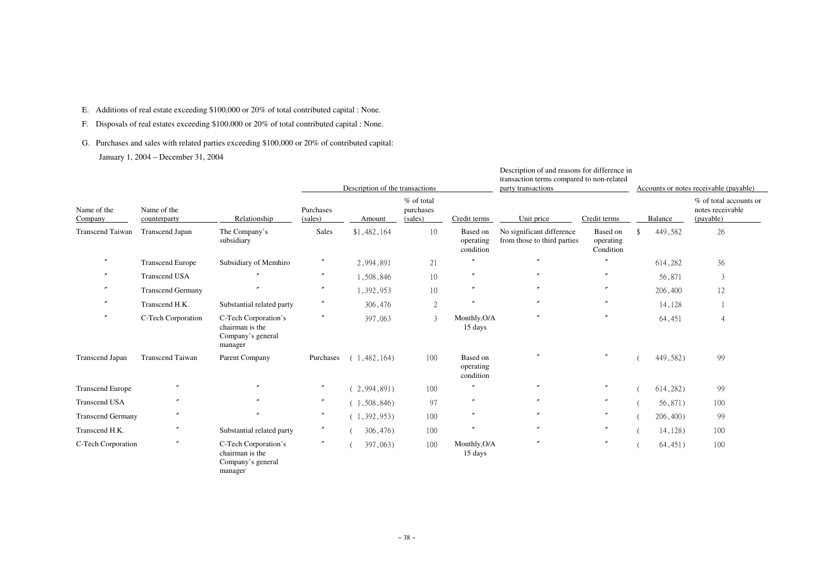- E. Additions of real estate exceeding \$100,000 or 20% of total contributed capital : None.
- F. Disposals of real estates exceeding \$100,000 or 20% of total contributed capital : None.
- G. Purchases and sales with related parties exceeding \$100,000 or 20% of contributed capital: January 1, 2004 – December 31, 2004

|                          |                             | Relationship                                                            |                      | Description of the transactions |                                    |                                    | Description of and reasons for difference in<br>transaction terms compared to non-related<br>party transactions |                                    |         | Accounts or notes receivable (payable) |                                                         |  |  |
|--------------------------|-----------------------------|-------------------------------------------------------------------------|----------------------|---------------------------------|------------------------------------|------------------------------------|-----------------------------------------------------------------------------------------------------------------|------------------------------------|---------|----------------------------------------|---------------------------------------------------------|--|--|
| Name of the<br>Company   | Name of the<br>counterparty |                                                                         | Purchases<br>(sales) | Amount                          | % of total<br>purchases<br>(sales) | Credit terms                       | Unit price                                                                                                      | Credit terms                       | Balance |                                        | % of total accounts or<br>notes receivable<br>(payable) |  |  |
| <b>Transcend Taiwan</b>  | <b>Transcend Japan</b>      | The Company's<br>subsidiary                                             | Sales                | \$1,482,164                     | 10                                 | Based on<br>operating<br>condition | No significant difference<br>from those to third parties                                                        | Based on<br>operating<br>Condition |         | 449,582                                | 26                                                      |  |  |
| $^{\prime\prime}$        | <b>Transcend Europe</b>     | Subsidiary of Memhiro                                                   | $^{\prime\prime}$    | 2,994,891                       | 21                                 |                                    | $^{\prime\prime}$                                                                                               |                                    |         | 614,282                                | 36                                                      |  |  |
|                          | <b>Transcend USA</b>        |                                                                         | $^{\prime\prime}$    | 1,508,846                       | 10                                 | $^{\prime\prime}$                  |                                                                                                                 |                                    |         | 56,871                                 | 3                                                       |  |  |
|                          | <b>Transcend Germany</b>    |                                                                         | $^{\prime\prime}$    | 1,392,953                       | 10                                 | $^{\prime\prime}$                  |                                                                                                                 |                                    |         | 206,400                                | 12                                                      |  |  |
|                          | Transcend H.K.              | Substantial related party                                               | $^{\prime\prime}$    | 306,476                         | $\overline{2}$                     | $^{\prime\prime}$                  | $^{\prime\prime}$                                                                                               |                                    |         | 14,128                                 |                                                         |  |  |
|                          | C-Tech Corporation          | C-Tech Corporation's<br>chairman is the<br>Company's general<br>manager | $^{\prime\prime}$    | 397,063                         | 3                                  | Monthly, O/A<br>15 days            |                                                                                                                 | $^{\prime\prime}$                  |         | 64,451                                 | $\overline{4}$                                          |  |  |
| <b>Transcend Japan</b>   | <b>Transcend Taiwan</b>     | Parent Company                                                          | Purchases            | (1, 482, 164)                   | 100                                | Based on<br>operating<br>condition |                                                                                                                 |                                    |         | 449,582)                               | 99                                                      |  |  |
| <b>Transcend Europe</b>  |                             |                                                                         | $^{\prime\prime}$    | (2,994,891)                     | 100                                | $^{\prime\prime}$                  | $^{\prime\prime}$                                                                                               | $^{\prime\prime}$                  |         | 614,282)                               | 99                                                      |  |  |
| <b>Transcend USA</b>     | n                           |                                                                         | $^{\prime\prime}$    | (1, 508, 846)                   | 97                                 | $^{\prime\prime}$                  | $^{\prime\prime}$                                                                                               | $^{\prime\prime}$                  |         | 56,871)                                | 100                                                     |  |  |
| <b>Transcend Germany</b> |                             |                                                                         | $^{\prime\prime}$    | (1, 392, 953)                   | 100                                | $\prime\prime$                     | $\prime\prime$                                                                                                  | $^{\prime\prime}$                  |         | $206,400$ )                            | 99                                                      |  |  |
| Transcend H.K.           |                             | Substantial related party                                               | $^{\prime\prime}$    | 306,476)                        | 100                                | $^{\prime\prime}$                  | $^{\prime\prime}$                                                                                               | $^{\prime\prime}$                  |         | $14,128$ )                             | 100                                                     |  |  |
| C-Tech Corporation       | $^{\prime\prime}$           | C-Tech Corporation's<br>chairman is the<br>Company's general<br>manager | $^{\prime\prime}$    | 397,063)                        | 100                                | Monthly, O/A<br>15 days            | $^{\prime\prime}$                                                                                               | $^{\prime\prime}$                  |         | 64,451)                                | 100                                                     |  |  |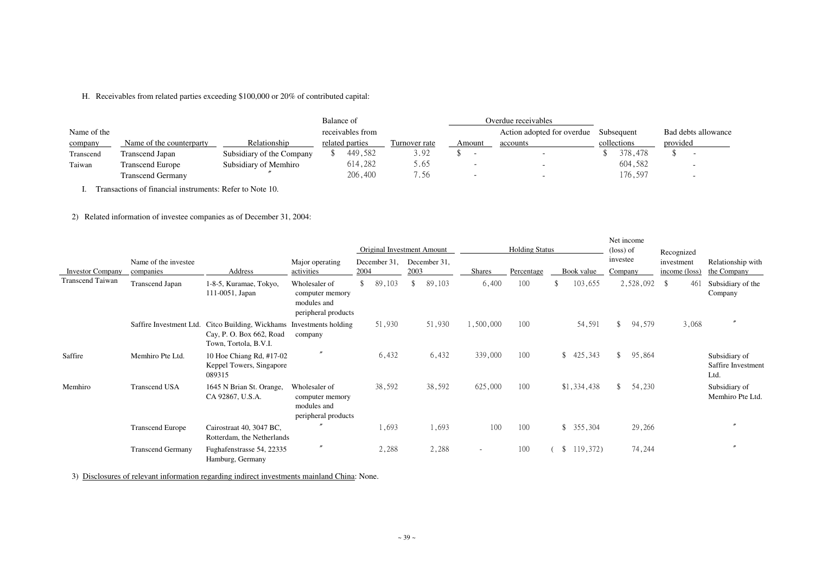H. Receivables from related parties exceeding \$100,000 or 20% of contributed capital:

|             |                          |                           | Balance of |                  |               | Overdue receivables |                            |             |          |                          |
|-------------|--------------------------|---------------------------|------------|------------------|---------------|---------------------|----------------------------|-------------|----------|--------------------------|
| Name of the |                          |                           |            | receivables from |               |                     | Action adopted for overdue | Subsequent  |          | Bad debts allowance      |
| company     | Name of the counterparty | Relationship              |            | related parties  | Turnover rate | Amount              | accounts                   | collections | provided |                          |
| Transcend   | Transcend Japan          | Subsidiary of the Company |            | 449,582          | 3.92          |                     |                            | 378,478     |          |                          |
| Taiwan      | <b>Transcend Europe</b>  | Subsidiary of Memhiro     |            | 614,282          | 5.65          |                     |                            | 604,582     |          | $\overline{\phantom{0}}$ |
|             | <b>Transcend Germany</b> |                           |            | 206,400          | '.56          |                     |                            | 176,597     |          | $\overline{\phantom{0}}$ |

I. Transactions of financial instruments: Refer to Note 10.

2) Related information of investee companies as of December 31, 2004:

| <b>Investor Company</b> | Name of the investee<br>companies | Address<br>1-8-5, Kuramae, Tokyo,<br>111-0051, Japan                                                  | Major operating<br>activities<br>Wholesaler of<br>computer memory<br>modules and<br>peripheral products | <b>Original Investment Amount</b><br>December 31,<br>2004 |        | December 31,<br>2003 |        | <b>Shares</b>            | <b>Holding Status</b><br>Percentage |  | Book value                |              | Net income<br>(loss) of<br>investee<br>Company | Recognized<br>investment<br>income (loss) | Relationship with<br>the Company            |
|-------------------------|-----------------------------------|-------------------------------------------------------------------------------------------------------|---------------------------------------------------------------------------------------------------------|-----------------------------------------------------------|--------|----------------------|--------|--------------------------|-------------------------------------|--|---------------------------|--------------|------------------------------------------------|-------------------------------------------|---------------------------------------------|
| Transcend Taiwan        | <b>Transcend Japan</b>            |                                                                                                       |                                                                                                         | $\mathbb{S}^-$                                            | 89,103 | \$                   | 89,103 | 6,400                    | 100                                 |  | 103,655                   |              | 2,528,092                                      | $\sqrt[6]{\frac{1}{2}}$<br>461            | Subsidiary of the<br>Company                |
|                         |                                   | Saffire Investment Ltd. Citco Building, Wickhams<br>Cay, P. O. Box 662, Road<br>Town, Tortola, B.V.I. | Investments holding<br>company                                                                          |                                                           | 51,930 |                      | 51,930 | 1,500,000                | 100                                 |  | 54,591                    | $\mathbb{S}$ | 94,579                                         | 3,068                                     | $\prime$                                    |
| Saffire                 | Memhiro Pte Ltd.                  | 10 Hoe Chiang Rd, #17-02<br>Keppel Towers, Singapore<br>089315                                        |                                                                                                         |                                                           | 6,432  |                      | 6,432  | 339,000                  | 100                                 |  | 425,343<br>$\mathcal{S}$  | $\mathbb{S}$ | 95,864                                         |                                           | Subsidiary of<br>Saffire Investment<br>Ltd. |
| Memhiro                 | <b>Transcend USA</b>              | 1645 N Brian St. Orange,<br>CA 92867, U.S.A.                                                          | Wholesaler of<br>computer memory<br>modules and<br>peripheral products                                  |                                                           | 38,592 |                      | 38,592 | 625,000                  | 100                                 |  | \$1,334,438               | $\mathbb{S}$ | 54,230                                         |                                           | Subsidiary of<br>Memhiro Pte Ltd.           |
|                         | <b>Transcend Europe</b>           | Cairostraat 40, 3047 BC,<br>Rotterdam, the Netherlands                                                | $\prime$                                                                                                |                                                           | 1,693  |                      | 1,693  | 100                      | 100                                 |  | $\mathcal{S}$<br>355,304  |              | 29,266                                         |                                           |                                             |
|                         | <b>Transcend Germany</b>          | Fughafenstrasse 54, 22335<br>Hamburg, Germany                                                         | $^{\prime\prime}$                                                                                       |                                                           | 2,288  |                      | 2,288  | $\overline{\phantom{a}}$ | 100                                 |  | 119,372)<br>$\mathcal{S}$ |              | 74,244                                         |                                           | $^{\prime\prime}$                           |

3) Disclosures of relevant information regarding indirect investments mainland China: None.